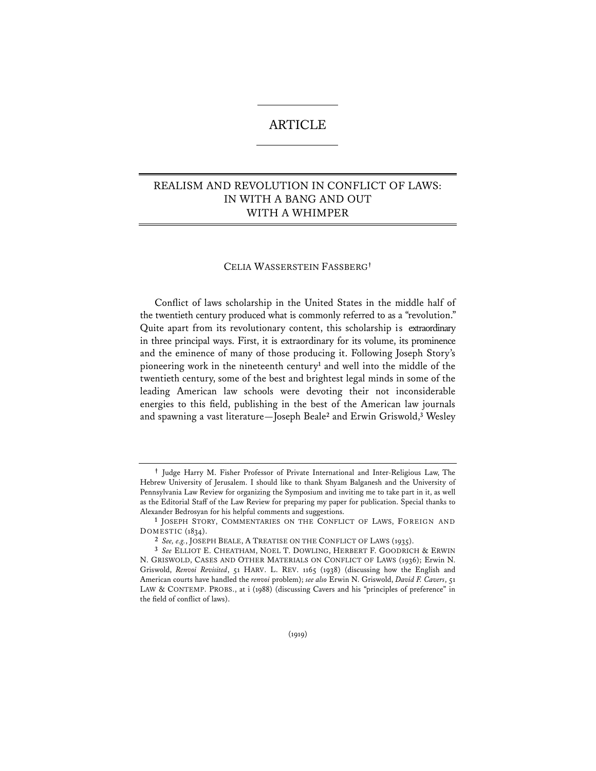## ARTICLE

## REALISM AND REVOLUTION IN CONFLICT OF LAWS: IN WITH A BANG AND OUT WITH A WHIMPER

## CELIA WASSERSTEIN FASSBERG**†**

Conflict of laws scholarship in the United States in the middle half of the twentieth century produced what is commonly referred to as a "revolution." Quite apart from its revolutionary content, this scholarship is extraordinary in three principal ways. First, it is extraordinary for its volume, its prominence and the eminence of many of those producing it. Following Joseph Story's pioneering work in the nineteenth century**<sup>1</sup>** and well into the middle of the twentieth century, some of the best and brightest legal minds in some of the leading American law schools were devoting their not inconsiderable energies to this field, publishing in the best of the American law journals and spawning a vast literature—Joseph Beale**<sup>2</sup>** and Erwin Griswold,**<sup>3</sup>** Wesley

**<sup>†</sup>** Judge Harry M. Fisher Professor of Private International and Inter-Religious Law, The Hebrew University of Jerusalem. I should like to thank Shyam Balganesh and the University of Pennsylvania Law Review for organizing the Symposium and inviting me to take part in it, as well as the Editorial Staff of the Law Review for preparing my paper for publication. Special thanks to Alexander Bedrosyan for his helpful comments and suggestions. **1** JOSEPH STORY, COMMENTARIES ON THE CONFLICT OF LAWS, FOREIGN AND

DOMESTIC (1834).

**<sup>2</sup>** *See, e.g.*, JOSEPH BEALE, A TREATISE ON THE CONFLICT OF LAWS (1935).

**<sup>3</sup>** *See* ELLIOT E. CHEATHAM, NOEL T. DOWLING, HERBERT F. GOODRICH & ERWIN N. GRISWOLD, CASES AND OTHER MATERIALS ON CONFLICT OF LAWS (1936); Erwin N. Griswold, *Renvoi Revisited*, 51 HARV. L. REV. 1165 (1938) (discussing how the English and American courts have handled the *renvoi* problem); *see also* Erwin N. Griswold, *David F. Cavers*, 51 LAW & CONTEMP. PROBS., at i (1988) (discussing Cavers and his "principles of preference" in the field of conflict of laws).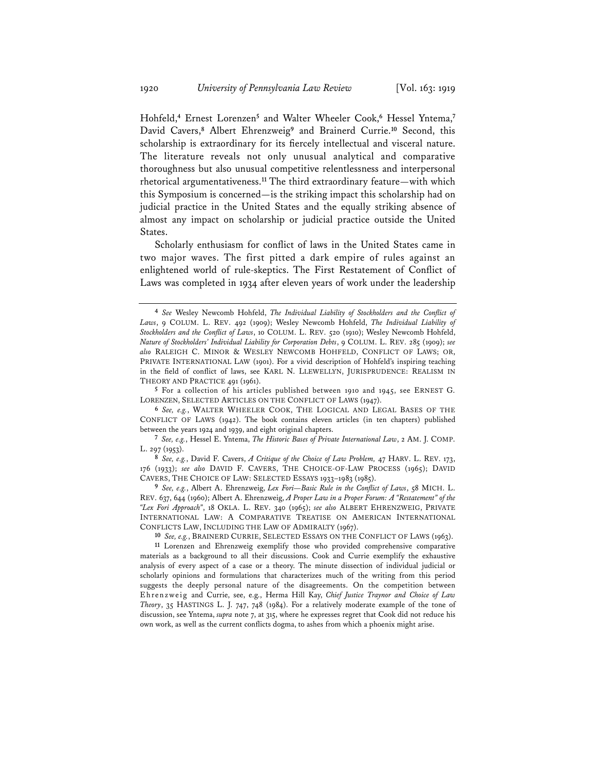Hohfeld,**<sup>4</sup>** Ernest Lorenzen**<sup>5</sup>** and Walter Wheeler Cook,**<sup>6</sup>** Hessel Yntema,**<sup>7</sup>** David Cavers,**<sup>8</sup>** Albert Ehrenzweig**<sup>9</sup>** and Brainerd Currie.**<sup>10</sup>** Second, this scholarship is extraordinary for its fiercely intellectual and visceral nature. The literature reveals not only unusual analytical and comparative thoroughness but also unusual competitive relentlessness and interpersonal rhetorical argumentativeness.**<sup>11</sup>** The third extraordinary feature—with which this Symposium is concerned—is the striking impact this scholarship had on judicial practice in the United States and the equally striking absence of almost any impact on scholarship or judicial practice outside the United States.

Scholarly enthusiasm for conflict of laws in the United States came in two major waves. The first pitted a dark empire of rules against an enlightened world of rule-skeptics. The First Restatement of Conflict of Laws was completed in 1934 after eleven years of work under the leadership

**<sup>5</sup>** For a collection of his articles published between 1910 and 1945, see ERNEST G. LORENZEN, SELECTED ARTICLES ON THE CONFLICT OF LAWS (1947).

**<sup>6</sup>** *See, e.g.*, WALTER WHEELER COOK, THE LOGICAL AND LEGAL BASES OF THE CONFLICT OF LAWS (1942). The book contains eleven articles (in ten chapters) published between the years 1924 and 1939, and eight original chapters.

**<sup>7</sup>** *See, e.g.*, Hessel E. Yntema, *The Historic Bases of Private International Law*, 2 AM. J. COMP. L. 297 (1953).

**<sup>8</sup>** *See, e.g.*, David F. Cavers, *A Critique of the Choice of Law Problem,* 47 HARV. L. REV. 173, 176 (1933); *see also* DAVID F. CAVERS, THE CHOICE-OF-LAW PROCESS (1965); DAVID CAVERS, THE CHOICE OF LAW: SELECTED ESSAYS 1933–1983 (1985).

**<sup>9</sup>** *See, e.g.*, Albert A. Ehrenzweig, *Lex Fori—Basic Rule in the Conflict of Laws*, 58 MICH. L. REV. 637, 644 (1960); Albert A. Ehrenzweig, *A Proper Law in a Proper Forum: A "Restatement" of the "Lex Fori Approach"*, 18 OKLA. L. REV. 340 (1965); *see also* ALBERT EHRENZWEIG, PRIVATE INTERNATIONAL LAW: A COMPARATIVE TREATISE ON AMERICAN INTERNATIONAL CONFLICTS LAW, INCLUDING THE LAW OF ADMIRALTY (1967).

**<sup>4</sup>** *See* Wesley Newcomb Hohfeld, *The Individual Liability of Stockholders and the Conflict of Laws*, 9 COLUM. L. REV. 492 (1909); Wesley Newcomb Hohfeld, *The Individual Liability of Stockholders and the Conflict of Laws*, 10 COLUM. L. REV. 520 (1910); Wesley Newcomb Hohfeld, *Nature of Stockholders' Individual Liability for Corporation Debts*, 9 COLUM. L. REV. 285 (1909); *see also* RALEIGH C. MINOR & WESLEY NEWCOMB HOHFELD, CONFLICT OF LAWS; OR, PRIVATE INTERNATIONAL LAW (1901). For a vivid description of Hohfeld's inspiring teaching in the field of conflict of laws, see KARL N. LLEWELLYN, JURISPRUDENCE: REALISM IN THEORY AND PRACTICE 491 (1961).

**<sup>10</sup>** *See, e.g.*, BRAINERD CURRIE, SELECTED ESSAYS ON THE CONFLICT OF LAWS (1963). **11** Lorenzen and Ehrenzweig exemplify those who provided comprehensive comparative materials as a background to all their discussions. Cook and Currie exemplify the exhaustive analysis of every aspect of a case or a theory. The minute dissection of individual judicial or scholarly opinions and formulations that characterizes much of the writing from this period suggests the deeply personal nature of the disagreements. On the competition between Ehrenzweig and Currie, see, e.g., Herma Hill Kay, *Chief Justice Traynor and Choice of Law Theory*, 35 HASTINGS L. J. 747, 748 (1984). For a relatively moderate example of the tone of discussion, see Yntema, *supra* note 7, at 315, where he expresses regret that Cook did not reduce his own work, as well as the current conflicts dogma, to ashes from which a phoenix might arise.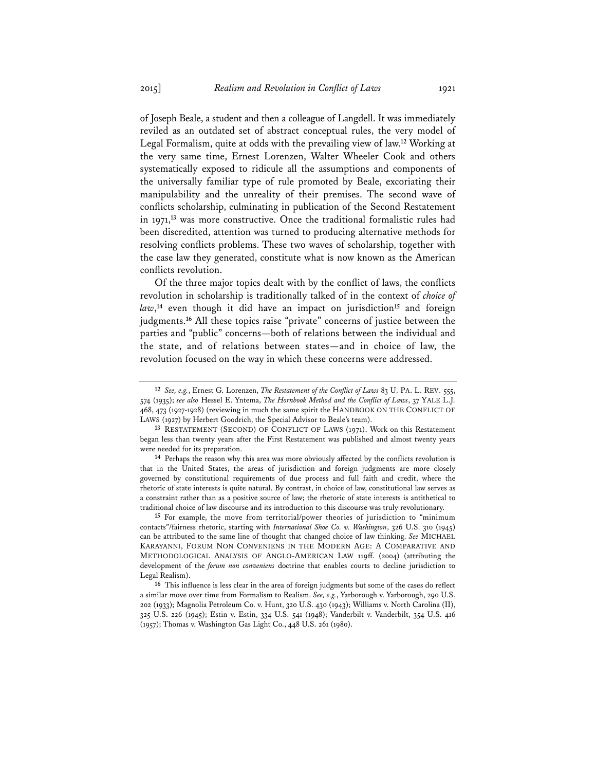of Joseph Beale, a student and then a colleague of Langdell. It was immediately reviled as an outdated set of abstract conceptual rules, the very model of Legal Formalism, quite at odds with the prevailing view of law.**<sup>12</sup>** Working at the very same time, Ernest Lorenzen, Walter Wheeler Cook and others systematically exposed to ridicule all the assumptions and components of the universally familiar type of rule promoted by Beale, excoriating their manipulability and the unreality of their premises. The second wave of conflicts scholarship, culminating in publication of the Second Restatement in 1971,**<sup>13</sup>** was more constructive. Once the traditional formalistic rules had been discredited, attention was turned to producing alternative methods for resolving conflicts problems. These two waves of scholarship, together with the case law they generated, constitute what is now known as the American conflicts revolution.

Of the three major topics dealt with by the conflict of laws, the conflicts revolution in scholarship is traditionally talked of in the context of *choice of law*, **<sup>14</sup>** even though it did have an impact on jurisdiction**<sup>15</sup>** and foreign judgments.**<sup>16</sup>** All these topics raise "private" concerns of justice between the parties and "public" concerns—both of relations between the individual and the state, and of relations between states—and in choice of law, the revolution focused on the way in which these concerns were addressed.

**<sup>15</sup>** For example, the move from territorial/power theories of jurisdiction to "minimum contacts"/fairness rhetoric, starting with *International Shoe Co. v. Washington*, 326 U.S. 310 (1945) can be attributed to the same line of thought that changed choice of law thinking. *See* MICHAEL KARAYANNI, FORUM NON CONVENIENS IN THE MODERN AGE: A COMPARATIVE AND METHODOLOGICAL ANALYSIS OF ANGLO-AMERICAN LAW 119ff. (2004) (attributing the development of the *forum non conveniens* doctrine that enables courts to decline jurisdiction to Legal Realism).

**<sup>16</sup>** This influence is less clear in the area of foreign judgments but some of the cases do reflect a similar move over time from Formalism to Realism. *See, e.g.*, Yarborough v. Yarborough, 290 U.S. 202 (1933); Magnolia Petroleum Co. v. Hunt, 320 U.S. 430 (1943); Williams v. North Carolina (II), 325 U.S. 226 (1945); Estin v. Estin, 334 U.S. 541 (1948); Vanderbilt v. Vanderbilt, 354 U.S. 416 (1957); Thomas v. Washington Gas Light Co., 448 U.S. 261 (1980).

**<sup>12</sup>** *See, e.g.*, Ernest G. Lorenzen, *The Restatement of the Conflict of Laws* 83 U. PA. L. REV. 555, 574 (1935); *see also* Hessel E. Yntema, *The Hornbook Method and the Conflict of Laws*, 37 YALE L.J. 468, 473 (1927-1928) (reviewing in much the same spirit the HANDBOOK ON THE CONFLICT OF LAWS (1927) by Herbert Goodrich, the Special Advisor to Beale's team).

**<sup>13</sup>** RESTATEMENT (SECOND) OF CONFLICT OF LAWS (1971). Work on this Restatement began less than twenty years after the First Restatement was published and almost twenty years were needed for its preparation.<br><sup>14</sup> Perhaps the reason why this area was more obviously affected by the conflicts revolution is

that in the United States, the areas of jurisdiction and foreign judgments are more closely governed by constitutional requirements of due process and full faith and credit, where the rhetoric of state interests is quite natural. By contrast, in choice of law, constitutional law serves as a constraint rather than as a positive source of law; the rhetoric of state interests is antithetical to traditional choice of law discourse and its introduction to this discourse was truly revolutionary.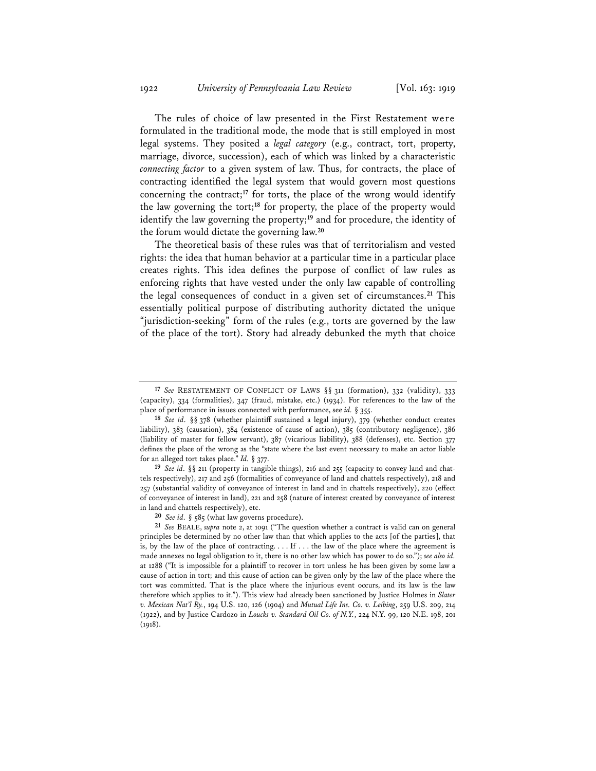The rules of choice of law presented in the First Restatement were formulated in the traditional mode, the mode that is still employed in most legal systems. They posited a *legal category* (e.g., contract, tort, property, marriage, divorce, succession), each of which was linked by a characteristic *connecting factor* to a given system of law. Thus, for contracts, the place of contracting identified the legal system that would govern most questions concerning the contract;**<sup>17</sup>** for torts, the place of the wrong would identify the law governing the tort;**<sup>18</sup>** for property, the place of the property would identify the law governing the property;**<sup>19</sup>** and for procedure, the identity of the forum would dictate the governing law.**<sup>20</sup>**

The theoretical basis of these rules was that of territorialism and vested rights: the idea that human behavior at a particular time in a particular place creates rights. This idea defines the purpose of conflict of law rules as enforcing rights that have vested under the only law capable of controlling the legal consequences of conduct in a given set of circumstances.**<sup>21</sup>** This essentially political purpose of distributing authority dictated the unique "jurisdiction-seeking" form of the rules (e.g., torts are governed by the law of the place of the tort). Story had already debunked the myth that choice

**<sup>19</sup>** *See id.* §§ 211 (property in tangible things), 216 and 255 (capacity to convey land and chattels respectively), 217 and 256 (formalities of conveyance of land and chattels respectively), 218 and 257 (substantial validity of conveyance of interest in land and in chattels respectively), 220 (effect of conveyance of interest in land), 221 and 258 (nature of interest created by conveyance of interest in land and chattels respectively), etc.

**<sup>17</sup>** *See* RESTATEMENT OF CONFLICT OF LAWS §§ 311 (formation), 332 (validity), 333 (capacity), 334 (formalities), 347 (fraud, mistake, etc.) (1934). For references to the law of the place of performance in issues connected with performance, see *id.* § 355.

**<sup>18</sup>** *See id.* §§ 378 (whether plaintiff sustained a legal injury), 379 (whether conduct creates liability), 383 (causation), 384 (existence of cause of action), 385 (contributory negligence), 386 (liability of master for fellow servant), 387 (vicarious liability), 388 (defenses), etc. Section 377 defines the place of the wrong as the "state where the last event necessary to make an actor liable for an alleged tort takes place." *Id.* § 377.

**<sup>20</sup>** *See id.* § 585 (what law governs procedure).

**<sup>21</sup>** *See* BEALE, *supra* note 2, at 1091 ("The question whether a contract is valid can on general principles be determined by no other law than that which applies to the acts [of the parties], that is, by the law of the place of contracting. . . . If . . . the law of the place where the agreement is made annexes no legal obligation to it, there is no other law which has power to do so."); *see also id.* at 1288 ("It is impossible for a plaintiff to recover in tort unless he has been given by some law a cause of action in tort; and this cause of action can be given only by the law of the place where the tort was committed. That is the place where the injurious event occurs, and its law is the law therefore which applies to it."). This view had already been sanctioned by Justice Holmes in *Slater v. Mexican Nat'l Ry.*, 194 U.S. 120, 126 (1904) and *Mutual Life Ins. Co. v. Leibing*, 259 U.S. 209, 214 (1922), and by Justice Cardozo in *Loucks v. Standard Oil Co. of N.Y.*, 224 N.Y. 99, 120 N.E. 198, 201  $(1018)$ .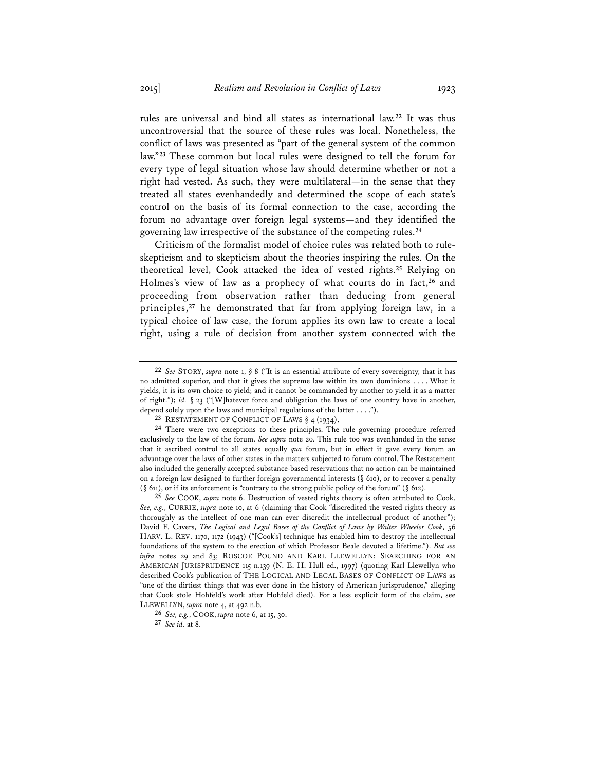rules are universal and bind all states as international law.**<sup>22</sup>** It was thus uncontroversial that the source of these rules was local. Nonetheless, the conflict of laws was presented as "part of the general system of the common law."**<sup>23</sup>** These common but local rules were designed to tell the forum for every type of legal situation whose law should determine whether or not a right had vested. As such, they were multilateral—in the sense that they treated all states evenhandedly and determined the scope of each state's control on the basis of its formal connection to the case, according the forum no advantage over foreign legal systems—and they identified the governing law irrespective of the substance of the competing rules.**<sup>24</sup>**

Criticism of the formalist model of choice rules was related both to ruleskepticism and to skepticism about the theories inspiring the rules. On the theoretical level, Cook attacked the idea of vested rights.**<sup>25</sup>** Relying on Holmes's view of law as a prophecy of what courts do in fact,**<sup>26</sup>** and proceeding from observation rather than deducing from general principles,**<sup>27</sup>** he demonstrated that far from applying foreign law, in a typical choice of law case, the forum applies its own law to create a local right, using a rule of decision from another system connected with the

**<sup>22</sup>** *See* STORY, *supra* note 1, § 8 ("It is an essential attribute of every sovereignty, that it has no admitted superior, and that it gives the supreme law within its own dominions . . . . What it yields, it is its own choice to yield; and it cannot be commanded by another to yield it as a matter of right."); *id.* § 23 ("[W]hatever force and obligation the laws of one country have in another, depend solely upon the laws and municipal regulations of the latter . . . .").

**<sup>23</sup>** RESTATEMENT OF CONFLICT OF LAWS § 4 (1934).

**<sup>24</sup>** There were two exceptions to these principles. The rule governing procedure referred exclusively to the law of the forum. *See supra* note 20. This rule too was evenhanded in the sense that it ascribed control to all states equally *qua* forum, but in effect it gave every forum an advantage over the laws of other states in the matters subjected to forum control. The Restatement also included the generally accepted substance-based reservations that no action can be maintained on a foreign law designed to further foreign governmental interests  $(\S$  610), or to recover a penalty (§ 611), or if its enforcement is "contrary to the strong public policy of the forum" (§ 612).

**<sup>25</sup>** *See* COOK, *supra* note 6. Destruction of vested rights theory is often attributed to Cook. *See, e.g.*, CURRIE, *supra* note 10, at 6 (claiming that Cook "discredited the vested rights theory as thoroughly as the intellect of one man can ever discredit the intellectual product of another"); David F. Cavers, *The Logical and Legal Bases of the Conflict of Laws by Walter Wheeler Cook*, 56 HARV. L. REV. 1170, 1172 (1943) ("[Cook's] technique has enabled him to destroy the intellectual foundations of the system to the erection of which Professor Beale devoted a lifetime."). *But see infra* notes 29 and 83; ROSCOE POUND AND KARL LLEWELLYN: SEARCHING FOR AN AMERICAN JURISPRUDENCE 115 n.139 (N. E. H. Hull ed., 1997) (quoting Karl Llewellyn who described Cook's publication of THE LOGICAL AND LEGAL BASES OF CONFLICT OF LAWS as "one of the dirtiest things that was ever done in the history of American jurisprudence," alleging that Cook stole Hohfeld's work after Hohfeld died). For a less explicit form of the claim, see LLEWELLYN, *supra* note 4, at 492 n.b.

**<sup>26</sup>** *See, e.g.*, COOK, *supra* note 6, at 15, 30.

**<sup>27</sup>** *See id.* at 8.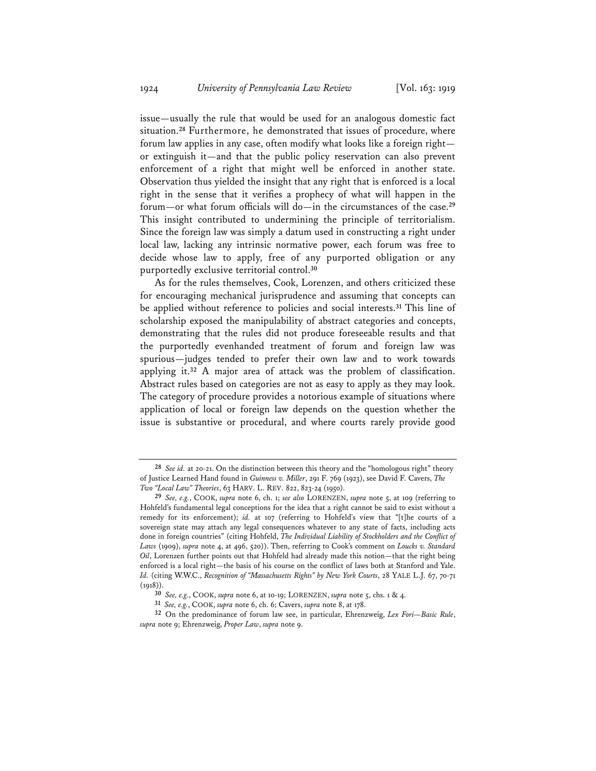issue—usually the rule that would be used for an analogous domestic fact situation.**<sup>28</sup>** Furthermore, he demonstrated that issues of procedure, where forum law applies in any case, often modify what looks like a foreign right or extinguish it—and that the public policy reservation can also prevent enforcement of a right that might well be enforced in another state. Observation thus yielded the insight that any right that is enforced is a local right in the sense that it verifies a prophecy of what will happen in the forum—or what forum officials will do—in the circumstances of the case.**<sup>29</sup>** This insight contributed to undermining the principle of territorialism. Since the foreign law was simply a datum used in constructing a right under local law, lacking any intrinsic normative power, each forum was free to decide whose law to apply, free of any purported obligation or any purportedly exclusive territorial control.**<sup>30</sup>**

As for the rules themselves, Cook, Lorenzen, and others criticized these for encouraging mechanical jurisprudence and assuming that concepts can be applied without reference to policies and social interests.**<sup>31</sup>** This line of scholarship exposed the manipulability of abstract categories and concepts, demonstrating that the rules did not produce foreseeable results and that the purportedly evenhanded treatment of forum and foreign law was spurious—judges tended to prefer their own law and to work towards applying it.**<sup>32</sup>** A major area of attack was the problem of classification. Abstract rules based on categories are not as easy to apply as they may look. The category of procedure provides a notorious example of situations where application of local or foreign law depends on the question whether the issue is substantive or procedural, and where courts rarely provide good

**<sup>28</sup>** *See id.* at 20-21. On the distinction between this theory and the "homologous right" theory of Justice Learned Hand found in *Guinness v. Miller*, 291 F. 769 (1923), see David F. Cavers, *The Two "Local Law" Theories*, 63 HARV. L. REV. 822, 823-24 (1950).

**<sup>29</sup>** *See, e.g.*, COOK, *supra* note 6, ch. 1; *see also* LORENZEN, *supra* note 5, at 109 (referring to Hohfeld's fundamental legal conceptions for the idea that a right cannot be said to exist without a remedy for its enforcement); *id.* at 107 (referring to Hohfeld's view that "[t]he courts of a sovereign state may attach any legal consequences whatever to any state of facts, including acts done in foreign countries" (citing Hohfeld, *The Individual Liability of Stockholders and the Conflict of Laws* (1909), *supra* note 4, at 496, 520)). Then, referring to Cook's comment on *Loucks v. Standard Oil*, Lorenzen further points out that Hohfeld had already made this notion—that the right being enforced is a local right—the basis of his course on the conflict of laws both at Stanford and Yale. *Id.* (citing W.W.C., *Recognition of "Massachusetts Rights" by New York Courts*, 28 YALE L.J. 67, 70-71  $(1918)$ .

**<sup>30</sup>** *See, e.g.*, COOK, *supra* note 6, at 10-19; LORENZEN, *supra* note 5, chs. 1 & 4.

**<sup>31</sup>** *See, e.g.*, COOK, *supra* note 6, ch. 6; Cavers, *supra* note 8, at 178.

**<sup>32</sup>** On the predominance of forum law see, in particular, Ehrenzweig, *Lex Fori—Basic Rule*, *supra* note 9; Ehrenzweig, *Proper Law*, *supra* note 9.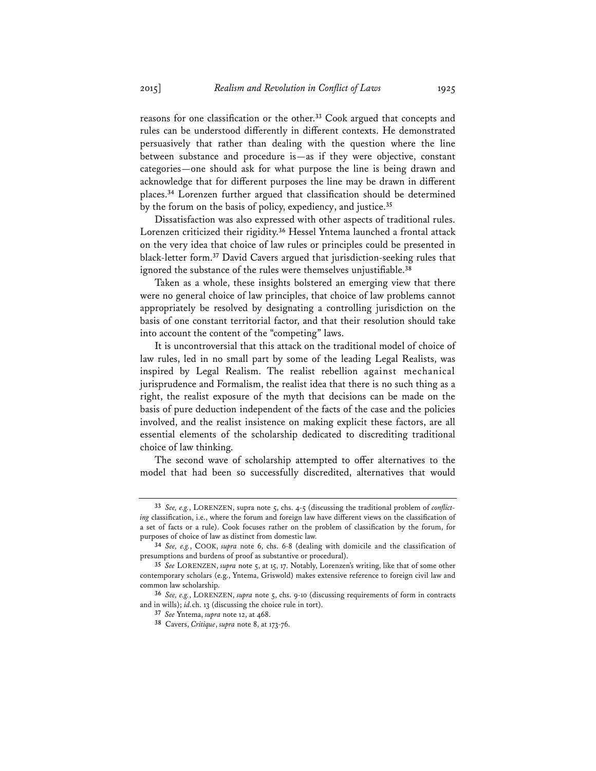reasons for one classification or the other.**<sup>33</sup>** Cook argued that concepts and rules can be understood differently in different contexts. He demonstrated persuasively that rather than dealing with the question where the line between substance and procedure is—as if they were objective, constant categories—one should ask for what purpose the line is being drawn and acknowledge that for different purposes the line may be drawn in different places.**<sup>34</sup>** Lorenzen further argued that classification should be determined by the forum on the basis of policy, expediency, and justice.**<sup>35</sup>**

Dissatisfaction was also expressed with other aspects of traditional rules. Lorenzen criticized their rigidity.**<sup>36</sup>** Hessel Yntema launched a frontal attack on the very idea that choice of law rules or principles could be presented in black-letter form.**<sup>37</sup>** David Cavers argued that jurisdiction-seeking rules that ignored the substance of the rules were themselves unjustifiable.**<sup>38</sup>**

Taken as a whole, these insights bolstered an emerging view that there were no general choice of law principles, that choice of law problems cannot appropriately be resolved by designating a controlling jurisdiction on the basis of one constant territorial factor, and that their resolution should take into account the content of the "competing" laws.

It is uncontroversial that this attack on the traditional model of choice of law rules, led in no small part by some of the leading Legal Realists, was inspired by Legal Realism. The realist rebellion against mechanical jurisprudence and Formalism, the realist idea that there is no such thing as a right, the realist exposure of the myth that decisions can be made on the basis of pure deduction independent of the facts of the case and the policies involved, and the realist insistence on making explicit these factors, are all essential elements of the scholarship dedicated to discrediting traditional choice of law thinking.

The second wave of scholarship attempted to offer alternatives to the model that had been so successfully discredited, alternatives that would

**<sup>33</sup>** *See, e.g.*, LORENZEN, supra note 5, chs. 4-5 (discussing the traditional problem of *conflicting* classification, i.e., where the forum and foreign law have different views on the classification of a set of facts or a rule). Cook focuses rather on the problem of classification by the forum, for purposes of choice of law as distinct from domestic law.

**<sup>34</sup>** *See, e.g.*, COOK, *supra* note 6, chs. 6-8 (dealing with domicile and the classification of presumptions and burdens of proof as substantive or procedural).

**<sup>35</sup>** *See* LORENZEN, *supra* note 5, at 15, 17. Notably, Lorenzen's writing, like that of some other contemporary scholars (e.g., Yntema, Griswold) makes extensive reference to foreign civil law and common law scholarship.

**<sup>36</sup>** *See, e.g.*, LORENZEN, *supra* note 5, chs. 9-10 (discussing requirements of form in contracts and in wills); *id.*ch. 13 (discussing the choice rule in tort).

**<sup>37</sup>** *See* Yntema, *supra* note 12, at 468.

**<sup>38</sup>** Cavers, *Critique*, *supra* note 8, at 173-76.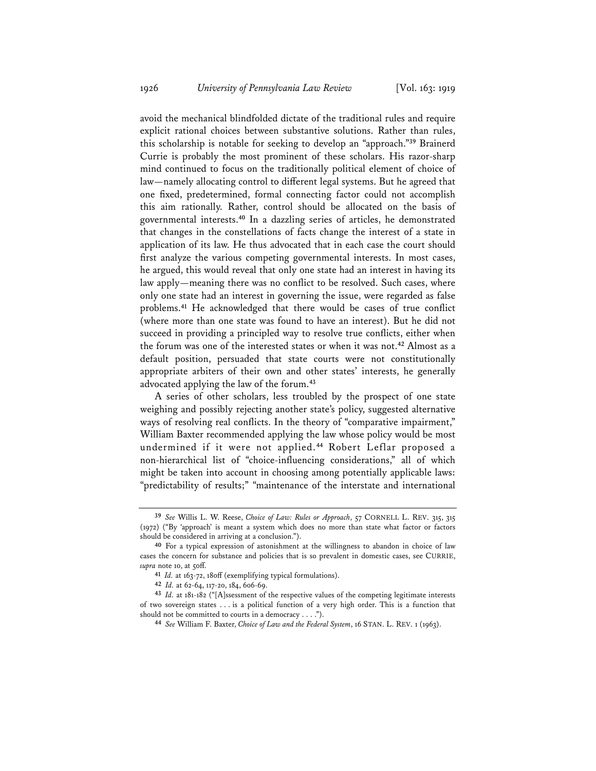avoid the mechanical blindfolded dictate of the traditional rules and require explicit rational choices between substantive solutions. Rather than rules, this scholarship is notable for seeking to develop an "approach."**<sup>39</sup>** Brainerd Currie is probably the most prominent of these scholars. His razor-sharp mind continued to focus on the traditionally political element of choice of law—namely allocating control to different legal systems. But he agreed that one fixed, predetermined, formal connecting factor could not accomplish this aim rationally. Rather, control should be allocated on the basis of governmental interests.**<sup>40</sup>** In a dazzling series of articles, he demonstrated that changes in the constellations of facts change the interest of a state in application of its law. He thus advocated that in each case the court should first analyze the various competing governmental interests. In most cases, he argued, this would reveal that only one state had an interest in having its law apply—meaning there was no conflict to be resolved. Such cases, where only one state had an interest in governing the issue, were regarded as false problems.**<sup>41</sup>** He acknowledged that there would be cases of true conflict (where more than one state was found to have an interest). But he did not succeed in providing a principled way to resolve true conflicts, either when the forum was one of the interested states or when it was not.**<sup>42</sup>** Almost as a default position, persuaded that state courts were not constitutionally appropriate arbiters of their own and other states' interests, he generally advocated applying the law of the forum.**<sup>43</sup>**

A series of other scholars, less troubled by the prospect of one state weighing and possibly rejecting another state's policy, suggested alternative ways of resolving real conflicts. In the theory of "comparative impairment," William Baxter recommended applying the law whose policy would be most undermined if it were not applied.**<sup>44</sup>** Robert Leflar proposed a non-hierarchical list of "choice-influencing considerations," all of which might be taken into account in choosing among potentially applicable laws: "predictability of results;" "maintenance of the interstate and international

**<sup>39</sup>** *See* Willis L. W. Reese, *Choice of Law: Rules or Approach*, 57 CORNELL L. REV. 315, 315 (1972) ("By 'approach' is meant a system which does no more than state what factor or factors should be considered in arriving at a conclusion.").

**<sup>40</sup>** For a typical expression of astonishment at the willingness to abandon in choice of law cases the concern for substance and policies that is so prevalent in domestic cases, see CURRIE, supra note 10, at 50ff.

**<sup>41</sup>** *Id.* at 163-72, 180ff (exemplifying typical formulations).

**<sup>42</sup>** *Id.* at 62-64, 117-20, 184, 606-69.

**<sup>43</sup>** *Id.* at 181-182 ("[A]ssessment of the respective values of the competing legitimate interests of two sovereign states . . . is a political function of a very high order. This is a function that should not be committed to courts in a democracy . . . .").

should not be committed to courts in a democracy . . . ."). **<sup>44</sup>** *See* William F. Baxter, *Choice of Law and the Federal System*, 16 STAN. L. REV. 1 (1963).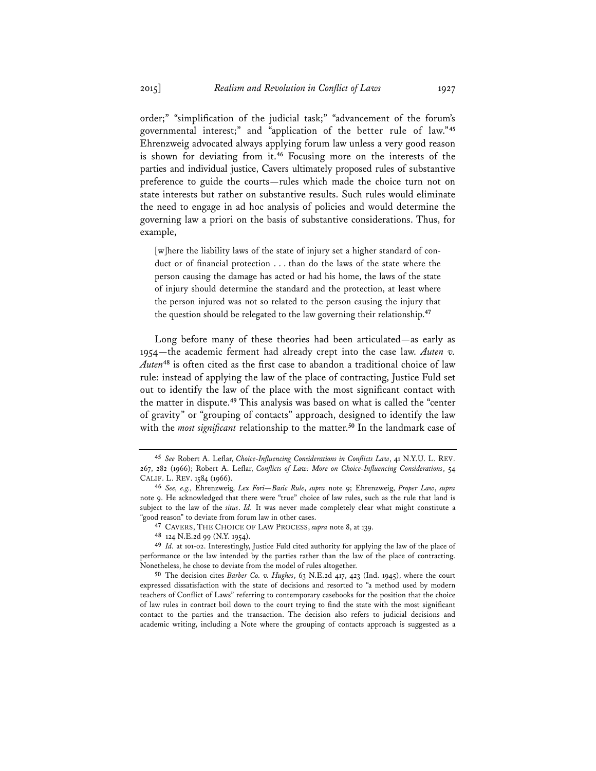order;" "simplification of the judicial task;" "advancement of the forum's governmental interest;" and "application of the better rule of law."**<sup>45</sup>** Ehrenzweig advocated always applying forum law unless a very good reason is shown for deviating from it.**<sup>46</sup>** Focusing more on the interests of the parties and individual justice, Cavers ultimately proposed rules of substantive preference to guide the courts—rules which made the choice turn not on state interests but rather on substantive results. Such rules would eliminate the need to engage in ad hoc analysis of policies and would determine the governing law a priori on the basis of substantive considerations. Thus, for example,

[w]here the liability laws of the state of injury set a higher standard of conduct or of financial protection . . . than do the laws of the state where the person causing the damage has acted or had his home, the laws of the state of injury should determine the standard and the protection, at least where the person injured was not so related to the person causing the injury that the question should be relegated to the law governing their relationship.**<sup>47</sup>**

Long before many of these theories had been articulated—as early as 1954—the academic ferment had already crept into the case law. *Auten v. Auten***<sup>48</sup>** is often cited as the first case to abandon a traditional choice of law rule: instead of applying the law of the place of contracting, Justice Fuld set out to identify the law of the place with the most significant contact with the matter in dispute.**<sup>49</sup>** This analysis was based on what is called the "center of gravity" or "grouping of contacts" approach, designed to identify the law with the *most significant* relationship to the matter.**<sup>50</sup>** In the landmark case of

**<sup>45</sup>** *See* Robert A. Leflar, *Choice-Influencing Considerations in Conflicts Law*, 41 N.Y.U. L. REV. 267, 282 (1966); Robert A. Leflar, *Conflicts of Law: More on Choice-Influencing Considerations*, 54 CALIF. L. REV. 1584 (1966).

**<sup>46</sup>** *See, e.g.,* Ehrenzweig, *Lex Fori—Basic Rule*, *supra* note 9; Ehrenzweig, *Proper Law*, *supra* note 9. He acknowledged that there were "true" choice of law rules, such as the rule that land is subject to the law of the *situs*. *Id.* It was never made completely clear what might constitute a "good reason" to deviate from forum law in other cases.

**<sup>47</sup>** CAVERS, THE CHOICE OF LAW PROCESS, *supra* note 8, at 139.

**<sup>48</sup>** 124 N.E.2d 99 (N.Y. 1954).

**<sup>49</sup>** *Id.* at 101-02. Interestingly, Justice Fuld cited authority for applying the law of the place of performance or the law intended by the parties rather than the law of the place of contracting. Nonetheless, he chose to deviate from the model of rules altogether.

**<sup>50</sup>** The decision cites *Barber Co. v. Hughes*, 63 N.E.2d 417, 423 (Ind. 1945), where the court expressed dissatisfaction with the state of decisions and resorted to "a method used by modern teachers of Conflict of Laws" referring to contemporary casebooks for the position that the choice of law rules in contract boil down to the court trying to find the state with the most significant contact to the parties and the transaction. The decision also refers to judicial decisions and academic writing, including a Note where the grouping of contacts approach is suggested as a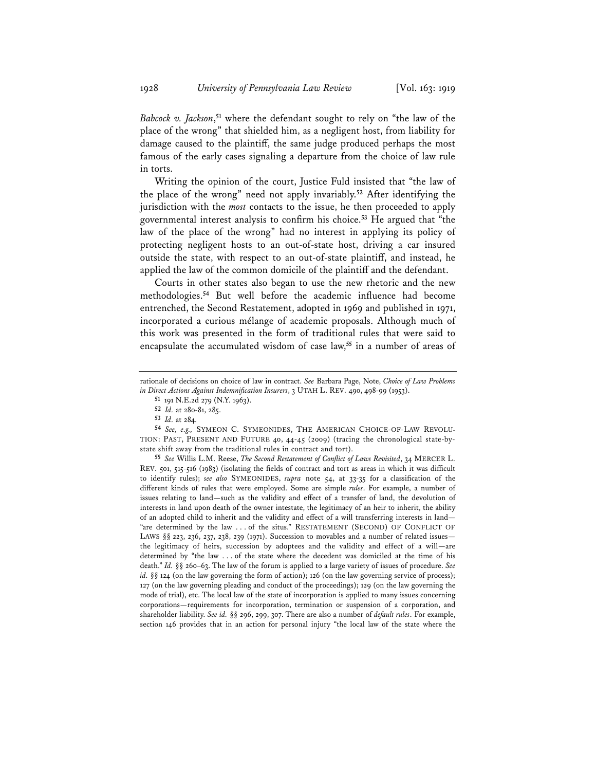*Babcock v. Jackson*, **<sup>51</sup>** where the defendant sought to rely on "the law of the place of the wrong" that shielded him, as a negligent host, from liability for damage caused to the plaintiff, the same judge produced perhaps the most famous of the early cases signaling a departure from the choice of law rule in torts.

Writing the opinion of the court, Justice Fuld insisted that "the law of the place of the wrong" need not apply invariably.**<sup>52</sup>** After identifying the jurisdiction with the *most* contacts to the issue, he then proceeded to apply governmental interest analysis to confirm his choice.**<sup>53</sup>** He argued that "the law of the place of the wrong" had no interest in applying its policy of protecting negligent hosts to an out-of-state host, driving a car insured outside the state, with respect to an out-of-state plaintiff, and instead, he applied the law of the common domicile of the plaintiff and the defendant.

Courts in other states also began to use the new rhetoric and the new methodologies.**<sup>54</sup>** But well before the academic influence had become entrenched, the Second Restatement, adopted in 1969 and published in 1971, incorporated a curious mélange of academic proposals. Although much of this work was presented in the form of traditional rules that were said to encapsulate the accumulated wisdom of case law,**<sup>55</sup>** in a number of areas of

**<sup>51</sup>** 191 N.E.2d 279 (N.Y. 1963).

**<sup>55</sup>** *See* Willis L.M. Reese, *The Second Restatement of Conflict of Laws Revisited*, 34 MERCER L. REV. 501, 515-516 (1983) (isolating the fields of contract and tort as areas in which it was difficult to identify rules); *see also* SYMEONIDES, *supra* note 54, at 33-35 for a classification of the different kinds of rules that were employed. Some are simple *rules*. For example, a number of issues relating to land—such as the validity and effect of a transfer of land, the devolution of interests in land upon death of the owner intestate, the legitimacy of an heir to inherit, the ability of an adopted child to inherit and the validity and effect of a will transferring interests in land— "are determined by the law . . . of the situs." RESTATEMENT (SECOND) OF CONFLICT OF LAWS  $\S$ § 223, 236, 237, 238, 239 (1971). Succession to movables and a number of related issues the legitimacy of heirs, succession by adoptees and the validity and effect of a will—are determined by "the law . . . of the state where the decedent was domiciled at the time of his death." *Id.* §§ 260–63. The law of the forum is applied to a large variety of issues of procedure. *See id.* §§ 124 (on the law governing the form of action); 126 (on the law governing service of process); 127 (on the law governing pleading and conduct of the proceedings); 129 (on the law governing the mode of trial), etc. The local law of the state of incorporation is applied to many issues concerning corporations—requirements for incorporation, termination or suspension of a corporation, and shareholder liability. *See id.* §§ 296, 299, 307. There are also a number of *default rules*. For example, section 146 provides that in an action for personal injury "the local law of the state where the

rationale of decisions on choice of law in contract. *See* Barbara Page, Note, *Choice of Law Problems in Direct Actions Against Indemnification Insurers*, 3 UTAH L. REV. 490, 498-99 (1953).

**<sup>52</sup>** *Id.* at 280-81, 285.

**<sup>53</sup>** *Id.* at 284.

**<sup>54</sup>** *See, e.g.,* SYMEON C. SYMEONIDES, THE AMERICAN CHOICE-OF-LAW REVOLU-TION: PAST, PRESENT AND FUTURE 40, 44-45 (2009) (tracing the chronological state-bystate shift away from the traditional rules in contract and tort).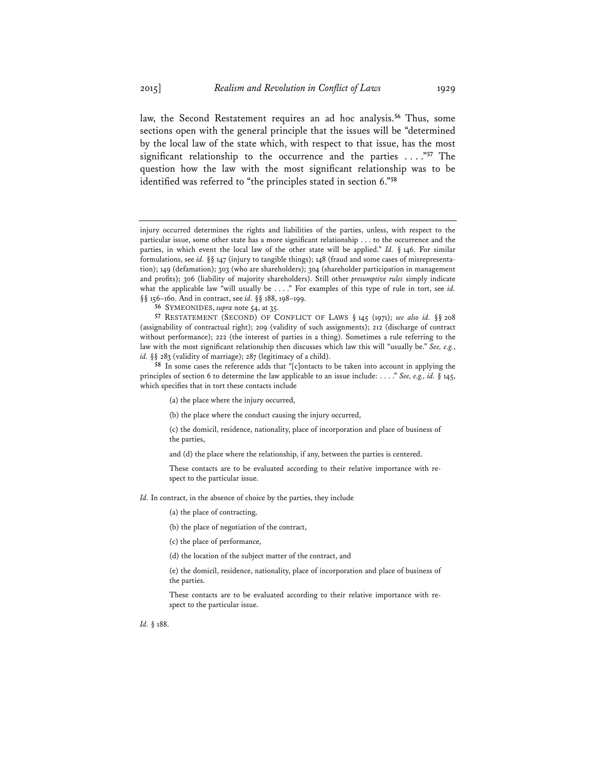law, the Second Restatement requires an ad hoc analysis.**<sup>56</sup>** Thus, some sections open with the general principle that the issues will be "determined by the local law of the state which, with respect to that issue, has the most significant relationship to the occurrence and the parties . . . ."**<sup>57</sup>** The question how the law with the most significant relationship was to be identified was referred to "the principles stated in section 6."**<sup>58</sup>**

**<sup>56</sup>** SYMEONIDES, *supra* note 54, at 35.

- (a) the place where the injury occurred,
- (b) the place where the conduct causing the injury occurred,

(c) the domicil, residence, nationality, place of incorporation and place of business of the parties,

and (d) the place where the relationship, if any, between the parties is centered.

These contacts are to be evaluated according to their relative importance with respect to the particular issue.

- *Id.* In contract, in the absence of choice by the parties, they include
	- (a) the place of contracting,
	- (b) the place of negotiation of the contract,
	- (c) the place of performance,
	- (d) the location of the subject matter of the contract, and

(e) the domicil, residence, nationality, place of incorporation and place of business of the parties.

These contacts are to be evaluated according to their relative importance with respect to the particular issue.

*Id.* § 188.

injury occurred determines the rights and liabilities of the parties, unless, with respect to the particular issue, some other state has a more significant relationship . . . to the occurrence and the parties, in which event the local law of the other state will be applied." *Id.* § 146. For similar formulations, see *id.* §§ 147 (injury to tangible things); 148 (fraud and some cases of misrepresentation); 149 (defamation); 303 (who are shareholders); 304 (shareholder participation in management and profits); 306 (liability of majority shareholders). Still other *presumptive rules* simply indicate what the applicable law "will usually be . . . ." For examples of this type of rule in tort, see *id.*  §§ 156–160. And in contract, see *id.* §§ 188, 198–199.

**<sup>57</sup>** RESTATEMENT (SECOND) OF CONFLICT OF LAWS § 145 (1971); *see also id.* §§ 208 (assignability of contractual right); 209 (validity of such assignments); 212 (discharge of contract without performance); 222 (the interest of parties in a thing). Sometimes a rule referring to the law with the most significant relationship then discusses which law this will "usually be." *See, e.g.*, *id.* §§ 283 (validity of marriage); 287 (legitimacy of a child).

**<sup>58</sup>** In some cases the reference adds that "[c]ontacts to be taken into account in applying the principles of section 6 to determine the law applicable to an issue include: . . . ." *See, e.g., id.* § 145, which specifies that in tort these contacts include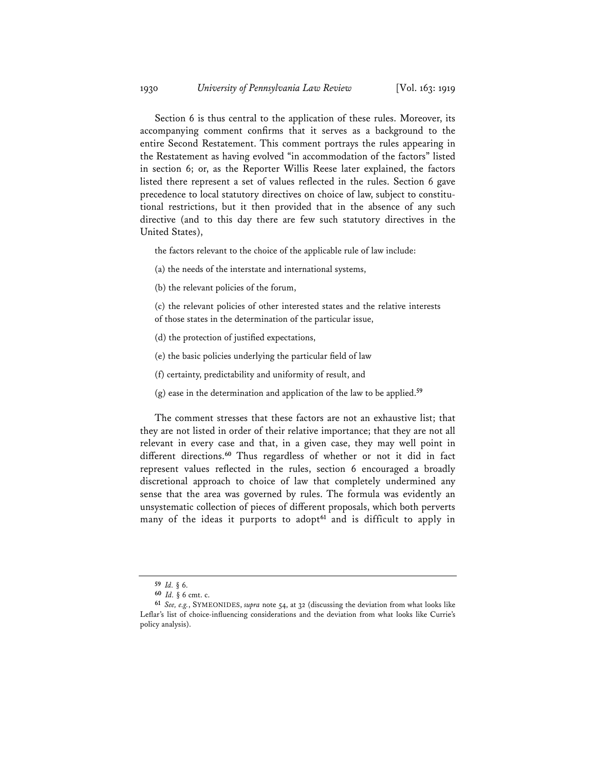Section 6 is thus central to the application of these rules. Moreover, its accompanying comment confirms that it serves as a background to the entire Second Restatement. This comment portrays the rules appearing in the Restatement as having evolved "in accommodation of the factors" listed in section 6; or, as the Reporter Willis Reese later explained, the factors listed there represent a set of values reflected in the rules. Section 6 gave precedence to local statutory directives on choice of law, subject to constitutional restrictions, but it then provided that in the absence of any such directive (and to this day there are few such statutory directives in the United States),

the factors relevant to the choice of the applicable rule of law include:

- (a) the needs of the interstate and international systems,
- (b) the relevant policies of the forum,

(c) the relevant policies of other interested states and the relative interests of those states in the determination of the particular issue,

- (d) the protection of justified expectations,
- (e) the basic policies underlying the particular field of law
- (f) certainty, predictability and uniformity of result, and
- (g) ease in the determination and application of the law to be applied.**<sup>59</sup>**

The comment stresses that these factors are not an exhaustive list; that they are not listed in order of their relative importance; that they are not all relevant in every case and that, in a given case, they may well point in different directions.**<sup>60</sup>** Thus regardless of whether or not it did in fact represent values reflected in the rules, section 6 encouraged a broadly discretional approach to choice of law that completely undermined any sense that the area was governed by rules. The formula was evidently an unsystematic collection of pieces of different proposals, which both perverts many of the ideas it purports to adopt**<sup>61</sup>** and is difficult to apply in

**<sup>59</sup>** *Id.* § 6.

**<sup>60</sup>** *Id.* § 6 cmt. c.

**<sup>61</sup>** *See, e.g.*, SYMEONIDES, *supra* note 54, at 32 (discussing the deviation from what looks like Leflar's list of choice-influencing considerations and the deviation from what looks like Currie's policy analysis).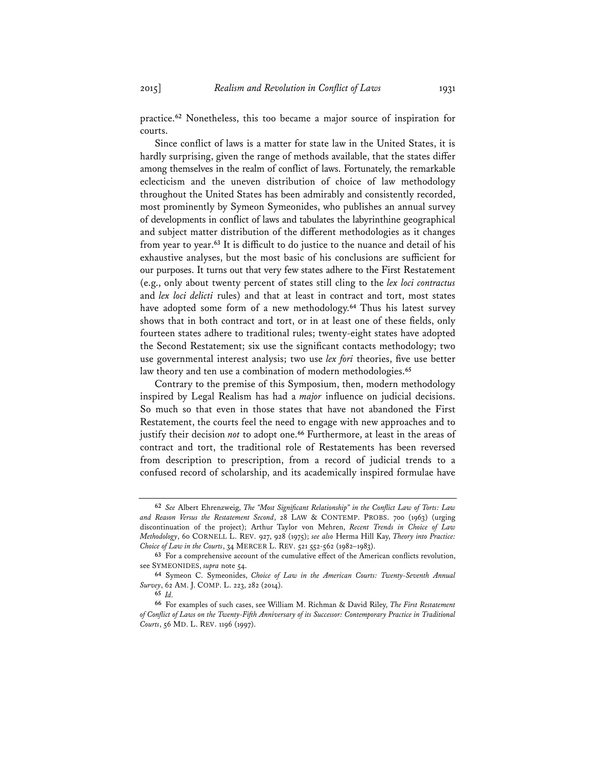practice.**<sup>62</sup>** Nonetheless, this too became a major source of inspiration for courts.

Since conflict of laws is a matter for state law in the United States, it is hardly surprising, given the range of methods available, that the states differ among themselves in the realm of conflict of laws. Fortunately, the remarkable eclecticism and the uneven distribution of choice of law methodology throughout the United States has been admirably and consistently recorded, most prominently by Symeon Symeonides, who publishes an annual survey of developments in conflict of laws and tabulates the labyrinthine geographical and subject matter distribution of the different methodologies as it changes from year to year.**<sup>63</sup>** It is difficult to do justice to the nuance and detail of his exhaustive analyses, but the most basic of his conclusions are sufficient for our purposes. It turns out that very few states adhere to the First Restatement (e.g., only about twenty percent of states still cling to the *lex loci contractus* and *lex loci delicti* rules) and that at least in contract and tort, most states have adopted some form of a new methodology.**<sup>64</sup>** Thus his latest survey shows that in both contract and tort, or in at least one of these fields, only fourteen states adhere to traditional rules; twenty-eight states have adopted the Second Restatement; six use the significant contacts methodology; two use governmental interest analysis; two use *lex fori* theories, five use better law theory and ten use a combination of modern methodologies.**<sup>65</sup>**

Contrary to the premise of this Symposium, then, modern methodology inspired by Legal Realism has had a *major* influence on judicial decisions. So much so that even in those states that have not abandoned the First Restatement, the courts feel the need to engage with new approaches and to justify their decision *not* to adopt one.**<sup>66</sup>** Furthermore, at least in the areas of contract and tort, the traditional role of Restatements has been reversed from description to prescription, from a record of judicial trends to a confused record of scholarship, and its academically inspired formulae have

**<sup>62</sup>** *See* Albert Ehrenzweig, *The "Most Significant Relationship" in the Conflict Law of Torts: Law and Reason Versus the Restatement Second*, 28 LAW & CONTEMP. PROBS. 700 (1963) (urging discontinuation of the project); Arthur Taylor von Mehren, *Recent Trends in Choice of Law Methodology*, 60 CORNELL L. REV. 927, 928 (1975); *see also* Herma Hill Kay, *Theory into Practice: Choice of Law in the Courts*, 34 MERCER L. REV. 521 552-562 (1982–1983).

**<sup>63</sup>** For a comprehensive account of the cumulative effect of the American conflicts revolution, see SYMEONIDES, *supra* note 54.

**<sup>64</sup>** Symeon C. Symeonides, *Choice of Law in the American Courts: Twenty-Seventh Annual Survey*, 62 AM. J. COMP. L. 223, 282 (2014).

**<sup>65</sup>** *Id.*

**<sup>66</sup>** For examples of such cases, see William M. Richman & David Riley, *The First Restatement of Conflict of Laws on the Twenty-Fifth Anniversary of its Successor: Contemporary Practice in Traditional Courts*, 56 MD. L. REV. 1196 (1997).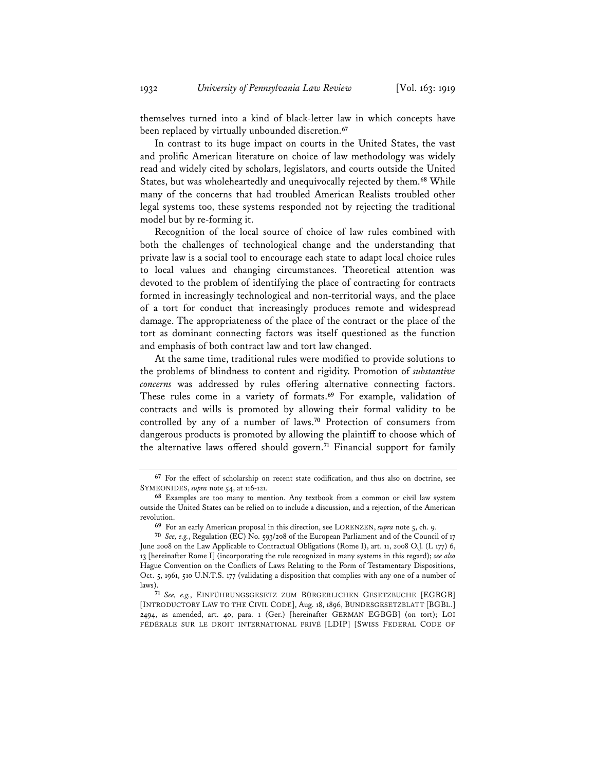themselves turned into a kind of black-letter law in which concepts have been replaced by virtually unbounded discretion.**<sup>67</sup>**

In contrast to its huge impact on courts in the United States, the vast and prolific American literature on choice of law methodology was widely read and widely cited by scholars, legislators, and courts outside the United States, but was wholeheartedly and unequivocally rejected by them.**<sup>68</sup>** While many of the concerns that had troubled American Realists troubled other legal systems too, these systems responded not by rejecting the traditional model but by re-forming it.

Recognition of the local source of choice of law rules combined with both the challenges of technological change and the understanding that private law is a social tool to encourage each state to adapt local choice rules to local values and changing circumstances. Theoretical attention was devoted to the problem of identifying the place of contracting for contracts formed in increasingly technological and non-territorial ways, and the place of a tort for conduct that increasingly produces remote and widespread damage. The appropriateness of the place of the contract or the place of the tort as dominant connecting factors was itself questioned as the function and emphasis of both contract law and tort law changed.

At the same time, traditional rules were modified to provide solutions to the problems of blindness to content and rigidity. Promotion of *substantive concerns* was addressed by rules offering alternative connecting factors. These rules come in a variety of formats.**<sup>69</sup>** For example, validation of contracts and wills is promoted by allowing their formal validity to be controlled by any of a number of laws.**<sup>70</sup>** Protection of consumers from dangerous products is promoted by allowing the plaintiff to choose which of the alternative laws offered should govern.**<sup>71</sup>** Financial support for family

**<sup>67</sup>** For the effect of scholarship on recent state codification, and thus also on doctrine, see SYMEONIDES, *supra* note 54, at 116-121.

**<sup>68</sup>** Examples are too many to mention. Any textbook from a common or civil law system outside the United States can be relied on to include a discussion, and a rejection, of the American revolution.

**<sup>69</sup>** For an early American proposal in this direction, see LORENZEN, *supra* note 5, ch. 9.

**<sup>70</sup>** *See, e.g.*, Regulation (EC) No. 593/208 of the European Parliament and of the Council of 17 June 2008 on the Law Applicable to Contractual Obligations (Rome I), art. 11, 2008 O.J. (L 177) 6, 13 [hereinafter Rome I] (incorporating the rule recognized in many systems in this regard); *see also* Hague Convention on the Conflicts of Laws Relating to the Form of Testamentary Dispositions, Oct. 5, 1961, 510 U.N.T.S. 177 (validating a disposition that complies with any one of a number of laws).

**<sup>71</sup>** *See, e.g.*, EINFÜHRUNGSGESETZ ZUM BÜRGERLICHEN GESETZBUCHE [EGBGB] [INTRODUCTORY LAW TO THE CIVIL CODE], Aug. 18, 1896, BUNDESGESETZBLATT [BGBL.] 2494, as amended, art. 40, para. 1 (Ger.) [hereinafter GERMAN EGBGB] (on tort); LOI FÉDÉRALE SUR LE DROIT INTERNATIONAL PRIVÉ [LDIP] [SWISS FEDERAL CODE OF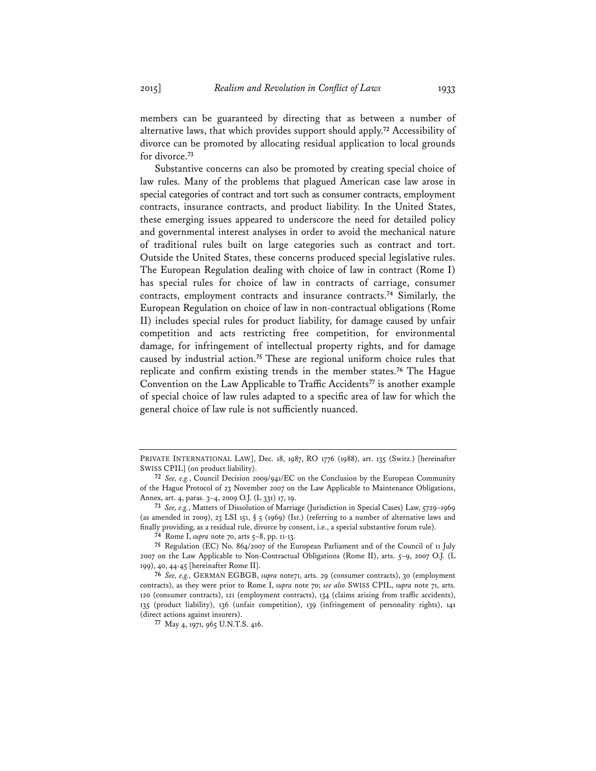members can be guaranteed by directing that as between a number of alternative laws, that which provides support should apply.**<sup>72</sup>** Accessibility of divorce can be promoted by allocating residual application to local grounds for divorce.**<sup>73</sup>**

Substantive concerns can also be promoted by creating special choice of law rules. Many of the problems that plagued American case law arose in special categories of contract and tort such as consumer contracts, employment contracts, insurance contracts, and product liability. In the United States, these emerging issues appeared to underscore the need for detailed policy and governmental interest analyses in order to avoid the mechanical nature of traditional rules built on large categories such as contract and tort. Outside the United States, these concerns produced special legislative rules. The European Regulation dealing with choice of law in contract (Rome I) has special rules for choice of law in contracts of carriage, consumer contracts, employment contracts and insurance contracts.**<sup>74</sup>** Similarly, the European Regulation on choice of law in non-contractual obligations (Rome II) includes special rules for product liability, for damage caused by unfair competition and acts restricting free competition, for environmental damage, for infringement of intellectual property rights, and for damage caused by industrial action.**<sup>75</sup>** These are regional uniform choice rules that replicate and confirm existing trends in the member states.**<sup>76</sup>** The Hague Convention on the Law Applicable to Traffic Accidents**<sup>77</sup>** is another example of special choice of law rules adapted to a specific area of law for which the general choice of law rule is not sufficiently nuanced.

PRIVATE INTERNATIONAL LAW], Dec. 18, 1987, RO 1776 (1988), art. 135 (Switz.) [hereinafter SWISS CPIL] (on product liability).

**<sup>72</sup>** *See, e.g.*, Council Decision 2009/941/EC on the Conclusion by the European Community of the Hague Protocol of 23 November 2007 on the Law Applicable to Maintenance Obligations, Annex, art. 4, paras. 3–4, 2009 O.J. (L 331) 17, 19.

**<sup>73</sup>** *See, e.g.*, Matters of Dissolution of Marriage (Jurisdiction in Special Cases) Law, 5729–1969 (as amended in 2009), 23 LSI 151, § 5 (1969) (Isr.) (referring to a number of alternative laws and finally providing, as a residual rule, divorce by consent, i.e., a special substantive forum rule).

**<sup>74</sup>** Rome I, *supra* note 70, arts 5–8, pp. 11-13.

**<sup>75</sup>** Regulation (EC) No. 864/2007 of the European Parliament and of the Council of 11 July 2007 on the Law Applicable to Non-Contractual Obligations (Rome II), arts. 5–9, 2007 O.J. (L 199), 40, 44-45 [hereinafter Rome II].

**<sup>76</sup>** *See, e.g.,* GERMAN EGBGB, *supra* note71, arts. 29 (consumer contracts), 30 (employment contracts), as they were prior to Rome I, *supra* note 70; *see also* SWISS CPIL, *supra* note 71, arts. 120 (consumer contracts), 121 (employment contracts), 134 (claims arising from traffic accidents), 135 (product liability), 136 (unfair competition), 139 (infringement of personality rights), 141 (direct actions against insurers).

**<sup>77</sup>** May 4, 1971, 965 U.N.T.S. 416.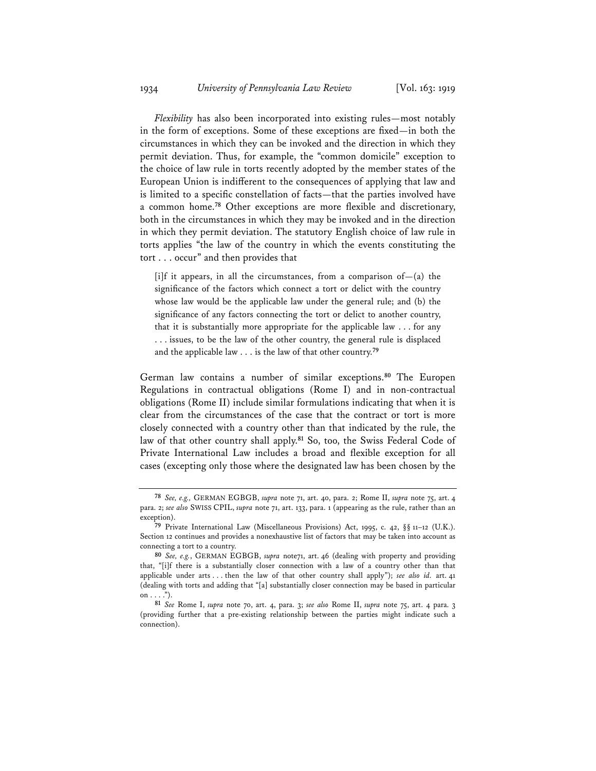*Flexibility* has also been incorporated into existing rules—most notably in the form of exceptions. Some of these exceptions are fixed—in both the circumstances in which they can be invoked and the direction in which they permit deviation. Thus, for example, the "common domicile" exception to the choice of law rule in torts recently adopted by the member states of the European Union is indifferent to the consequences of applying that law and is limited to a specific constellation of facts—that the parties involved have a common home.**<sup>78</sup>** Other exceptions are more flexible and discretionary, both in the circumstances in which they may be invoked and in the direction in which they permit deviation. The statutory English choice of law rule in torts applies "the law of the country in which the events constituting the tort . . . occur" and then provides that

[i]f it appears, in all the circumstances, from a comparison of  $-(a)$  the significance of the factors which connect a tort or delict with the country whose law would be the applicable law under the general rule; and (b) the significance of any factors connecting the tort or delict to another country, that it is substantially more appropriate for the applicable law . . . for any . . . issues, to be the law of the other country, the general rule is displaced and the applicable law . . . is the law of that other country.**<sup>79</sup>**

German law contains a number of similar exceptions.**<sup>80</sup>** The Europen Regulations in contractual obligations (Rome I) and in non-contractual obligations (Rome II) include similar formulations indicating that when it is clear from the circumstances of the case that the contract or tort is more closely connected with a country other than that indicated by the rule, the law of that other country shall apply.**<sup>81</sup>** So, too, the Swiss Federal Code of Private International Law includes a broad and flexible exception for all cases (excepting only those where the designated law has been chosen by the

**<sup>78</sup>** *See, e.g.,* GERMAN EGBGB, *supra* note 71, art. 40, para. 2; Rome II, *supra* note 75, art. 4 para. 2; *see also* SWISS CPIL, *supra* note 71, art. 133, para. 1 (appearing as the rule, rather than an exception).

**<sup>79</sup>** Private International Law (Miscellaneous Provisions) Act, 1995, c. 42, §§ 11–12 (U.K.). Section 12 continues and provides a nonexhaustive list of factors that may be taken into account as connecting a tort to a country.

**<sup>80</sup>** *See, e.g.*, GERMAN EGBGB, *supra* note71, art. 46 (dealing with property and providing that, "[i]f there is a substantially closer connection with a law of a country other than that applicable under arts . . . then the law of that other country shall apply"); *see also id.* art. 41 (dealing with torts and adding that "[a] substantially closer connection may be based in particular on  $\dots$ ").

**<sup>81</sup>** *See* Rome I, *supra* note 70, art. 4, para. 3; *see also* Rome II, *supra* note 75, art. 4 para. 3 (providing further that a pre-existing relationship between the parties might indicate such a connection).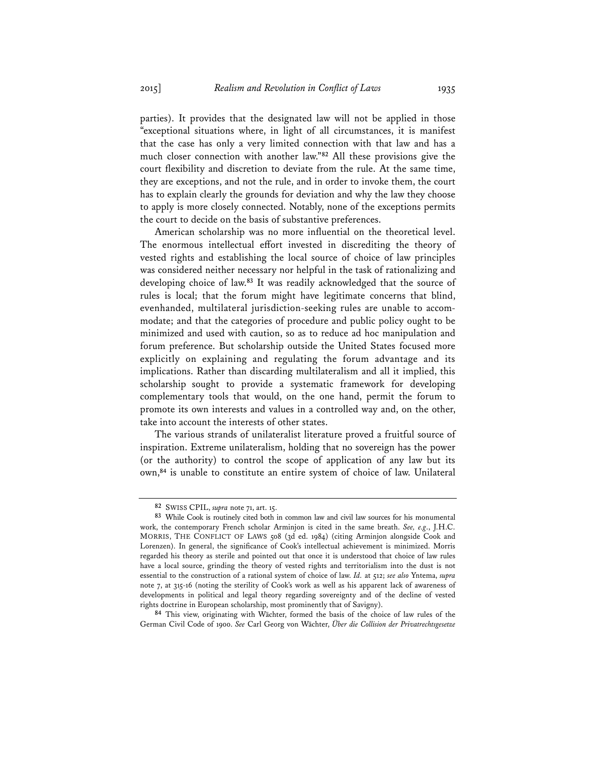parties). It provides that the designated law will not be applied in those "exceptional situations where, in light of all circumstances, it is manifest that the case has only a very limited connection with that law and has a much closer connection with another law."**<sup>82</sup>** All these provisions give the court flexibility and discretion to deviate from the rule. At the same time, they are exceptions, and not the rule, and in order to invoke them, the court has to explain clearly the grounds for deviation and why the law they choose to apply is more closely connected. Notably, none of the exceptions permits the court to decide on the basis of substantive preferences.

American scholarship was no more influential on the theoretical level. The enormous intellectual effort invested in discrediting the theory of vested rights and establishing the local source of choice of law principles was considered neither necessary nor helpful in the task of rationalizing and developing choice of law.**<sup>83</sup>** It was readily acknowledged that the source of rules is local; that the forum might have legitimate concerns that blind, evenhanded, multilateral jurisdiction-seeking rules are unable to accommodate; and that the categories of procedure and public policy ought to be minimized and used with caution, so as to reduce ad hoc manipulation and forum preference. But scholarship outside the United States focused more explicitly on explaining and regulating the forum advantage and its implications. Rather than discarding multilateralism and all it implied, this scholarship sought to provide a systematic framework for developing complementary tools that would, on the one hand, permit the forum to promote its own interests and values in a controlled way and, on the other, take into account the interests of other states.

The various strands of unilateralist literature proved a fruitful source of inspiration. Extreme unilateralism, holding that no sovereign has the power (or the authority) to control the scope of application of any law but its own,**<sup>84</sup>** is unable to constitute an entire system of choice of law. Unilateral

**<sup>84</sup>** This view, originating with Wächter, formed the basis of the choice of law rules of the German Civil Code of 1900. *See* Carl Georg von Wächter, *Über die Collision der Privatrechtsgesetze* 

**<sup>82</sup>** SWISS CPIL, *supra* note 71, art. 15.

**<sup>83</sup>** While Cook is routinely cited both in common law and civil law sources for his monumental work, the contemporary French scholar Arminjon is cited in the same breath. *See, e.g*., J.H.C. MORRIS, THE CONFLICT OF LAWS 508 (3d ed. 1984) (citing Arminjon alongside Cook and Lorenzen). In general, the significance of Cook's intellectual achievement is minimized. Morris regarded his theory as sterile and pointed out that once it is understood that choice of law rules have a local source, grinding the theory of vested rights and territorialism into the dust is not essential to the construction of a rational system of choice of law. *Id.* at 512; *see also* Yntema, *supra* note 7, at 315-16 (noting the sterility of Cook's work as well as his apparent lack of awareness of developments in political and legal theory regarding sovereignty and of the decline of vested rights doctrine in European scholarship, most prominently that of Savigny).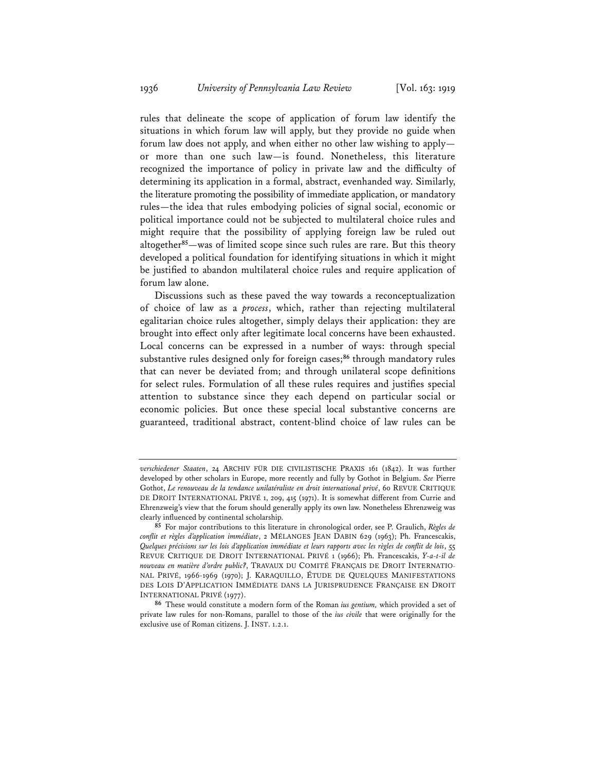rules that delineate the scope of application of forum law identify the situations in which forum law will apply, but they provide no guide when forum law does not apply, and when either no other law wishing to apply or more than one such law—is found. Nonetheless, this literature recognized the importance of policy in private law and the difficulty of determining its application in a formal, abstract, evenhanded way. Similarly, the literature promoting the possibility of immediate application, or mandatory rules—the idea that rules embodying policies of signal social, economic or political importance could not be subjected to multilateral choice rules and might require that the possibility of applying foreign law be ruled out altogether**<sup>85</sup>**—was of limited scope since such rules are rare. But this theory developed a political foundation for identifying situations in which it might be justified to abandon multilateral choice rules and require application of forum law alone.

Discussions such as these paved the way towards a reconceptualization of choice of law as a *process*, which, rather than rejecting multilateral egalitarian choice rules altogether, simply delays their application: they are brought into effect only after legitimate local concerns have been exhausted. Local concerns can be expressed in a number of ways: through special substantive rules designed only for foreign cases;**<sup>86</sup>** through mandatory rules that can never be deviated from; and through unilateral scope definitions for select rules. Formulation of all these rules requires and justifies special attention to substance since they each depend on particular social or economic policies. But once these special local substantive concerns are guaranteed, traditional abstract, content-blind choice of law rules can be

*verschiedener Staaten*, 24 ARCHIV FÜR DIE CIVILISTISCHE PRAXIS 161 (1842). It was further developed by other scholars in Europe, more recently and fully by Gothot in Belgium. *See* Pierre Gothot, *Le renouveau de la tendance unilatéraliste en droit international privé*, 60 REVUE CRITIQUE DE DROIT INTERNATIONAL PRIVÉ 1, 209, 415 (1971). It is somewhat different from Currie and Ehrenzweig's view that the forum should generally apply its own law. Nonetheless Ehrenzweig was clearly influenced by continental scholarship.

**<sup>85</sup>** For major contributions to this literature in chronological order, see P. Graulich, *Règles de conflit et règles d'application immédiate*, 2 MÉLANGES JEAN DABIN 629 (1963); Ph. Francescakis, *Quelques précisions sur les lois d'application immédiate et leurs rapports avec les règles de conflit de lois*, 55 REVUE CRITIQUE DE DROIT INTERNATIONAL PRIVÉ 1 (1966); Ph. Francescakis, *Y-a-t-il de nouveau en matière d'ordre public?*, TRAVAUX DU COMITÉ FRANÇAIS DE DROIT INTERNATIO-NAL PRIVÉ, 1966-1969 (1970); J. KARAQUILLO, ÉTUDE DE QUELQUES MANIFESTATIONS DES LOIS D'APPLICATION IMMÉDIATE DANS LA JURISPRUDENCE FRANÇAISE EN DROIT INTERNATIONAL PRIVÉ (1977).

**<sup>86</sup>** These would constitute a modern form of the Roman *ius gentium,* which provided a set of private law rules for non-Romans, parallel to those of the *ius civile* that were originally for the exclusive use of Roman citizens. J. INST. 1.2.1.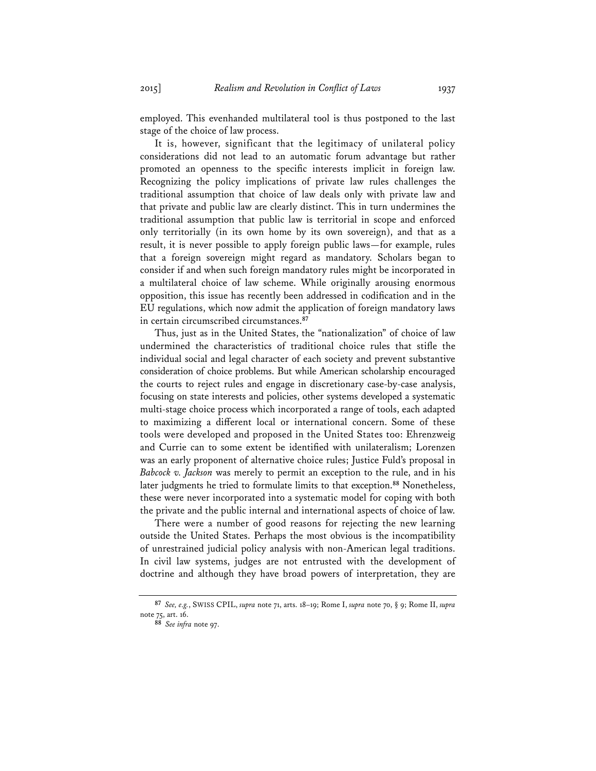employed. This evenhanded multilateral tool is thus postponed to the last stage of the choice of law process.

It is, however, significant that the legitimacy of unilateral policy considerations did not lead to an automatic forum advantage but rather promoted an openness to the specific interests implicit in foreign law. Recognizing the policy implications of private law rules challenges the traditional assumption that choice of law deals only with private law and that private and public law are clearly distinct. This in turn undermines the traditional assumption that public law is territorial in scope and enforced only territorially (in its own home by its own sovereign), and that as a result, it is never possible to apply foreign public laws—for example, rules that a foreign sovereign might regard as mandatory. Scholars began to consider if and when such foreign mandatory rules might be incorporated in a multilateral choice of law scheme. While originally arousing enormous opposition, this issue has recently been addressed in codification and in the EU regulations, which now admit the application of foreign mandatory laws in certain circumscribed circumstances.**<sup>87</sup>**

Thus, just as in the United States, the "nationalization" of choice of law undermined the characteristics of traditional choice rules that stifle the individual social and legal character of each society and prevent substantive consideration of choice problems. But while American scholarship encouraged the courts to reject rules and engage in discretionary case-by-case analysis, focusing on state interests and policies, other systems developed a systematic multi-stage choice process which incorporated a range of tools, each adapted to maximizing a different local or international concern. Some of these tools were developed and proposed in the United States too: Ehrenzweig and Currie can to some extent be identified with unilateralism; Lorenzen was an early proponent of alternative choice rules; Justice Fuld's proposal in *Babcock v. Jackson* was merely to permit an exception to the rule, and in his later judgments he tried to formulate limits to that exception.**<sup>88</sup>** Nonetheless, these were never incorporated into a systematic model for coping with both the private and the public internal and international aspects of choice of law.

There were a number of good reasons for rejecting the new learning outside the United States. Perhaps the most obvious is the incompatibility of unrestrained judicial policy analysis with non-American legal traditions. In civil law systems, judges are not entrusted with the development of doctrine and although they have broad powers of interpretation, they are

**<sup>87</sup>** *See, e.g.*, SWISS CPIL, *supra* note 71, arts. 18–19; Rome I, *supra* note 70, § 9; Rome II, *supra* note 75, art. 16.

**<sup>88</sup>** *See infra* note 97.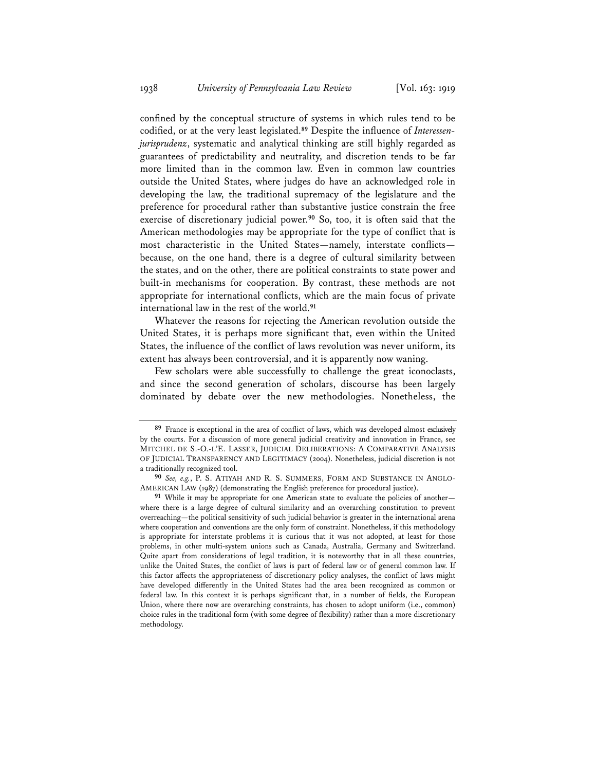confined by the conceptual structure of systems in which rules tend to be codified, or at the very least legislated.**<sup>89</sup>** Despite the influence of *Interessenjurisprudenz*, systematic and analytical thinking are still highly regarded as guarantees of predictability and neutrality, and discretion tends to be far more limited than in the common law. Even in common law countries outside the United States, where judges do have an acknowledged role in developing the law, the traditional supremacy of the legislature and the preference for procedural rather than substantive justice constrain the free exercise of discretionary judicial power.**<sup>90</sup>** So, too, it is often said that the American methodologies may be appropriate for the type of conflict that is most characteristic in the United States—namely, interstate conflicts because, on the one hand, there is a degree of cultural similarity between the states, and on the other, there are political constraints to state power and built-in mechanisms for cooperation. By contrast, these methods are not appropriate for international conflicts, which are the main focus of private international law in the rest of the world.**<sup>91</sup>**

Whatever the reasons for rejecting the American revolution outside the United States, it is perhaps more significant that, even within the United States, the influence of the conflict of laws revolution was never uniform, its extent has always been controversial, and it is apparently now waning.

Few scholars were able successfully to challenge the great iconoclasts, and since the second generation of scholars, discourse has been largely dominated by debate over the new methodologies. Nonetheless, the

**<sup>89</sup>** France is exceptional in the area of conflict of laws, which was developed almost exclusively by the courts. For a discussion of more general judicial creativity and innovation in France, see MITCHEL DE S.-O.-L'E. LASSER, JUDICIAL DELIBERATIONS: A COMPARATIVE ANALYSIS OF JUDICIAL TRANSPARENCY AND LEGITIMACY (2004). Nonetheless, judicial discretion is not a traditionally recognized tool.

**<sup>90</sup>** *See, e.g.*, P. S. ATIYAH AND R. S. SUMMERS, FORM AND SUBSTANCE IN ANGLO-AMERICAN LAW (1987) (demonstrating the English preference for procedural justice).

**<sup>91</sup>** While it may be appropriate for one American state to evaluate the policies of another where there is a large degree of cultural similarity and an overarching constitution to prevent overreaching—the political sensitivity of such judicial behavior is greater in the international arena where cooperation and conventions are the only form of constraint. Nonetheless, if this methodology is appropriate for interstate problems it is curious that it was not adopted, at least for those problems, in other multi-system unions such as Canada, Australia, Germany and Switzerland. Quite apart from considerations of legal tradition, it is noteworthy that in all these countries, unlike the United States, the conflict of laws is part of federal law or of general common law. If this factor affects the appropriateness of discretionary policy analyses, the conflict of laws might have developed differently in the United States had the area been recognized as common or federal law. In this context it is perhaps significant that, in a number of fields, the European Union, where there now are overarching constraints, has chosen to adopt uniform (i.e., common) choice rules in the traditional form (with some degree of flexibility) rather than a more discretionary methodology.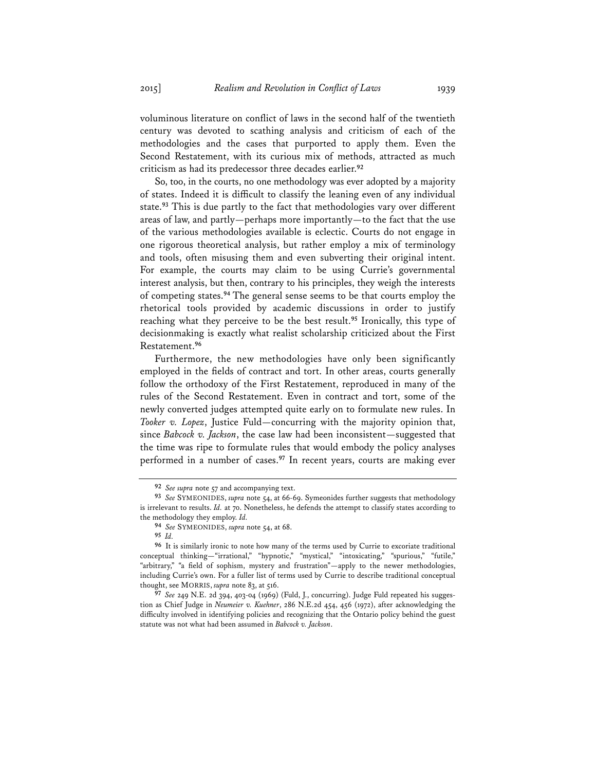voluminous literature on conflict of laws in the second half of the twentieth century was devoted to scathing analysis and criticism of each of the methodologies and the cases that purported to apply them. Even the Second Restatement, with its curious mix of methods, attracted as much criticism as had its predecessor three decades earlier.**<sup>92</sup>**

So, too, in the courts, no one methodology was ever adopted by a majority of states. Indeed it is difficult to classify the leaning even of any individual state.**<sup>93</sup>** This is due partly to the fact that methodologies vary over different areas of law, and partly—perhaps more importantly—to the fact that the use of the various methodologies available is eclectic. Courts do not engage in one rigorous theoretical analysis, but rather employ a mix of terminology and tools, often misusing them and even subverting their original intent. For example, the courts may claim to be using Currie's governmental interest analysis, but then, contrary to his principles, they weigh the interests of competing states.**<sup>94</sup>** The general sense seems to be that courts employ the rhetorical tools provided by academic discussions in order to justify reaching what they perceive to be the best result.**<sup>95</sup>** Ironically, this type of decisionmaking is exactly what realist scholarship criticized about the First Restatement.**<sup>96</sup>**

Furthermore, the new methodologies have only been significantly employed in the fields of contract and tort. In other areas, courts generally follow the orthodoxy of the First Restatement, reproduced in many of the rules of the Second Restatement. Even in contract and tort, some of the newly converted judges attempted quite early on to formulate new rules. In *Tooker v. Lopez*, Justice Fuld—concurring with the majority opinion that, since *Babcock v. Jackson*, the case law had been inconsistent—suggested that the time was ripe to formulate rules that would embody the policy analyses performed in a number of cases.**<sup>97</sup>** In recent years, courts are making ever

**<sup>92</sup>** *See supra* note 57 and accompanying text.

**<sup>93</sup>** *See* SYMEONIDES, *supra* note 54, at 66-69. Symeonides further suggests that methodology is irrelevant to results. *Id.* at 70. Nonetheless, he defends the attempt to classify states according to the methodology they employ. *Id.* 

**<sup>94</sup>** *See* SYMEONIDES, *supra* note 54, at 68.

**<sup>95</sup>** *Id.*

**<sup>96</sup>** It is similarly ironic to note how many of the terms used by Currie to excoriate traditional conceptual thinking—"irrational," "hypnotic," "mystical," "intoxicating," "spurious," "futile," "arbitrary," "a field of sophism, mystery and frustration"—apply to the newer methodologies, including Currie's own. For a fuller list of terms used by Currie to describe traditional conceptual thought, see MORRIS, *supra* note 83, at 516.

**<sup>97</sup>** *See* 249 N.E. 2d 394, 403-04 (1969) (Fuld, J., concurring). Judge Fuld repeated his suggestion as Chief Judge in *Neumeier v. Kuehner*, 286 N.E.2d 454, 456 (1972), after acknowledging the difficulty involved in identifying policies and recognizing that the Ontario policy behind the guest statute was not what had been assumed in *Babcock v. Jackson*.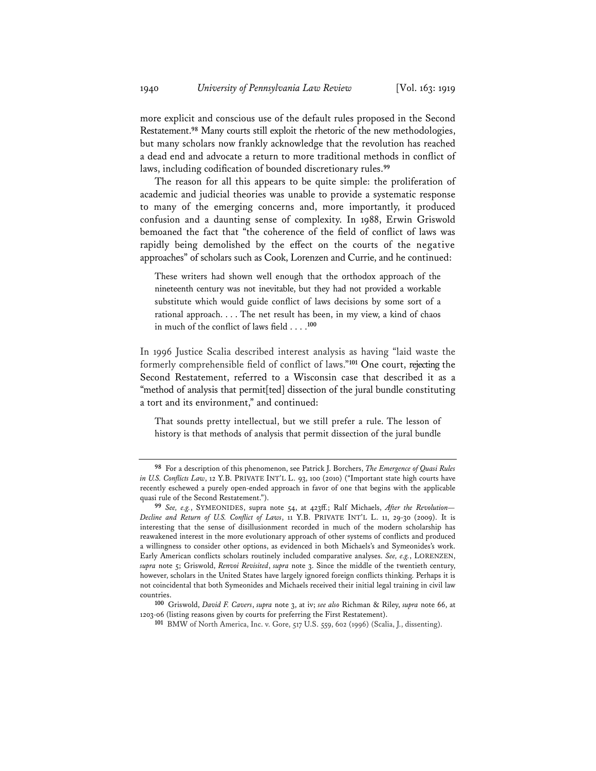more explicit and conscious use of the default rules proposed in the Second Restatement.**<sup>98</sup>** Many courts still exploit the rhetoric of the new methodologies, but many scholars now frankly acknowledge that the revolution has reached a dead end and advocate a return to more traditional methods in conflict of laws, including codification of bounded discretionary rules.**<sup>99</sup>**

The reason for all this appears to be quite simple: the proliferation of academic and judicial theories was unable to provide a systematic response to many of the emerging concerns and, more importantly, it produced confusion and a daunting sense of complexity. In 1988, Erwin Griswold bemoaned the fact that "the coherence of the field of conflict of laws was rapidly being demolished by the effect on the courts of the negative approaches" of scholars such as Cook, Lorenzen and Currie, and he continued:

These writers had shown well enough that the orthodox approach of the nineteenth century was not inevitable, but they had not provided a workable substitute which would guide conflict of laws decisions by some sort of a rational approach. . . . The net result has been, in my view, a kind of chaos in much of the conflict of laws field . . . .**<sup>100</sup>**

In 1996 Justice Scalia described interest analysis as having "laid waste the formerly comprehensible field of conflict of laws."**<sup>101</sup>** One court, rejecting the Second Restatement, referred to a Wisconsin case that described it as a "method of analysis that permit[ted] dissection of the jural bundle constituting a tort and its environment," and continued:

That sounds pretty intellectual, but we still prefer a rule. The lesson of history is that methods of analysis that permit dissection of the jural bundle

**<sup>98</sup>** For a description of this phenomenon, see Patrick J. Borchers, *The Emergence of Quasi Rules in U.S. Conflicts Law*, 12 Y.B. PRIVATE INT'L L. 93, 100 (2010) ("Important state high courts have recently eschewed a purely open-ended approach in favor of one that begins with the applicable quasi rule of the Second Restatement.").

**<sup>99</sup>** *See, e.g.*, SYMEONIDES, supra note 54, at 423ff.; Ralf Michaels, *After the Revolution— Decline and Return of U.S. Conflict of Laws*, 11 Y.B. PRIVATE INT'L L. 11, 29-30 (2009). It is interesting that the sense of disillusionment recorded in much of the modern scholarship has reawakened interest in the more evolutionary approach of other systems of conflicts and produced a willingness to consider other options, as evidenced in both Michaels's and Symeonides's work. Early American conflicts scholars routinely included comparative analyses. *See, e.g.*, LORENZEN, *supra* note 5; Griswold, *Renvoi Revisited*, *supra* note 3. Since the middle of the twentieth century, however, scholars in the United States have largely ignored foreign conflicts thinking. Perhaps it is not coincidental that both Symeonides and Michaels received their initial legal training in civil law countries.

**<sup>100</sup>** Griswold, *David F. Cavers*, *supra* note 3, at iv; *see also* Richman & Riley, *supra* note 66, at 1203-06 (listing reasons given by courts for preferring the First Restatement).

**<sup>101</sup>** BMW of North America, Inc. v. Gore, 517 U.S. 559, 602 (1996) (Scalia, J., dissenting).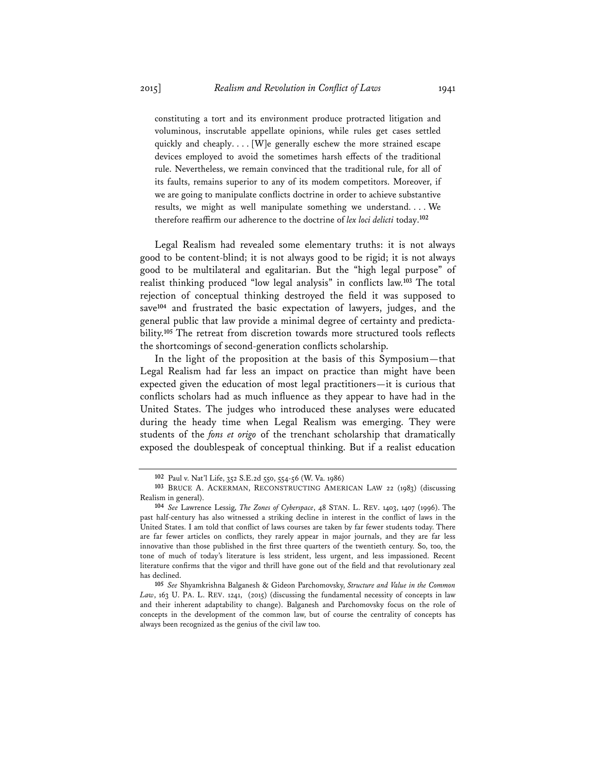constituting a tort and its environment produce protracted litigation and voluminous, inscrutable appellate opinions, while rules get cases settled quickly and cheaply. . . . [W]e generally eschew the more strained escape devices employed to avoid the sometimes harsh effects of the traditional rule. Nevertheless, we remain convinced that the traditional rule, for all of its faults, remains superior to any of its modem competitors. Moreover, if we are going to manipulate conflicts doctrine in order to achieve substantive results, we might as well manipulate something we understand. . . . We therefore reaffirm our adherence to the doctrine of *lex loci delicti* today.**<sup>102</sup>**

Legal Realism had revealed some elementary truths: it is not always good to be content-blind; it is not always good to be rigid; it is not always good to be multilateral and egalitarian. But the "high legal purpose" of realist thinking produced "low legal analysis" in conflicts law.**<sup>103</sup>** The total rejection of conceptual thinking destroyed the field it was supposed to save**<sup>104</sup>** and frustrated the basic expectation of lawyers, judges, and the general public that law provide a minimal degree of certainty and predictability.**<sup>105</sup>** The retreat from discretion towards more structured tools reflects the shortcomings of second-generation conflicts scholarship.

In the light of the proposition at the basis of this Symposium—that Legal Realism had far less an impact on practice than might have been expected given the education of most legal practitioners—it is curious that conflicts scholars had as much influence as they appear to have had in the United States. The judges who introduced these analyses were educated during the heady time when Legal Realism was emerging. They were students of the *fons et origo* of the trenchant scholarship that dramatically exposed the doublespeak of conceptual thinking. But if a realist education

**<sup>102</sup>** Paul v. Nat'l Life, 352 S.E.2d 550, 554-56 (W. Va. 1986)

**<sup>103</sup>** BRUCE A. ACKERMAN, RECONSTRUCTING AMERICAN LAW 22 (1983) (discussing Realism in general).

**<sup>104</sup>** *See* Lawrence Lessig, *The Zones of Cyberspace*, 48 STAN. L. REV. 1403, 1407 (1996). The past half-century has also witnessed a striking decline in interest in the conflict of laws in the United States. I am told that conflict of laws courses are taken by far fewer students today. There are far fewer articles on conflicts, they rarely appear in major journals, and they are far less innovative than those published in the first three quarters of the twentieth century. So, too, the tone of much of today's literature is less strident, less urgent, and less impassioned. Recent literature confirms that the vigor and thrill have gone out of the field and that revolutionary zeal has declined.

**<sup>105</sup>** *See* Shyamkrishna Balganesh & Gideon Parchomovsky, *Structure and Value in the Common Law*, 163 U. PA. L. REV. 1241, (2015) (discussing the fundamental necessity of concepts in law and their inherent adaptability to change). Balganesh and Parchomovsky focus on the role of concepts in the development of the common law, but of course the centrality of concepts has always been recognized as the genius of the civil law too.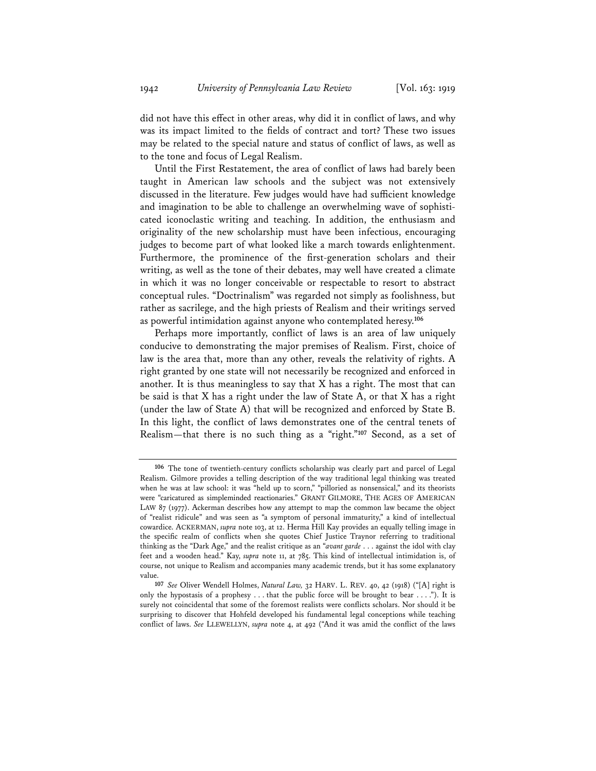did not have this effect in other areas, why did it in conflict of laws, and why was its impact limited to the fields of contract and tort? These two issues may be related to the special nature and status of conflict of laws, as well as to the tone and focus of Legal Realism.

Until the First Restatement, the area of conflict of laws had barely been taught in American law schools and the subject was not extensively discussed in the literature. Few judges would have had sufficient knowledge and imagination to be able to challenge an overwhelming wave of sophisticated iconoclastic writing and teaching. In addition, the enthusiasm and originality of the new scholarship must have been infectious, encouraging judges to become part of what looked like a march towards enlightenment. Furthermore, the prominence of the first-generation scholars and their writing, as well as the tone of their debates, may well have created a climate in which it was no longer conceivable or respectable to resort to abstract conceptual rules. "Doctrinalism" was regarded not simply as foolishness, but rather as sacrilege, and the high priests of Realism and their writings served as powerful intimidation against anyone who contemplated heresy.**<sup>106</sup>**

Perhaps more importantly, conflict of laws is an area of law uniquely conducive to demonstrating the major premises of Realism. First, choice of law is the area that, more than any other, reveals the relativity of rights. A right granted by one state will not necessarily be recognized and enforced in another. It is thus meaningless to say that X has a right. The most that can be said is that X has a right under the law of State A, or that X has a right (under the law of State A) that will be recognized and enforced by State B. In this light, the conflict of laws demonstrates one of the central tenets of Realism—that there is no such thing as a "right."**<sup>107</sup>** Second, as a set of

**<sup>106</sup>** The tone of twentieth-century conflicts scholarship was clearly part and parcel of Legal Realism. Gilmore provides a telling description of the way traditional legal thinking was treated when he was at law school: it was "held up to scorn," "pilloried as nonsensical," and its theorists were "caricatured as simpleminded reactionaries." GRANT GILMORE, THE AGES OF AMERICAN LAW 87 (1977). Ackerman describes how any attempt to map the common law became the object of "realist ridicule" and was seen as "a symptom of personal immaturity," a kind of intellectual cowardice. ACKERMAN, *supra* note 103, at 12. Herma Hill Kay provides an equally telling image in the specific realm of conflicts when she quotes Chief Justice Traynor referring to traditional thinking as the "Dark Age," and the realist critique as an "*avant garde* . . . against the idol with clay feet and a wooden head." Kay, *supra* note 11, at 785. This kind of intellectual intimidation is, of course, not unique to Realism and accompanies many academic trends, but it has some explanatory value.

**<sup>107</sup>** *See* Oliver Wendell Holmes, *Natural Law,* 32 HARV. L. REV. 40, 42 (1918) ("[A] right is only the hypostasis of a prophesy . . . that the public force will be brought to bear . . . ."). It is surely not coincidental that some of the foremost realists were conflicts scholars. Nor should it be surprising to discover that Hohfeld developed his fundamental legal conceptions while teaching conflict of laws. *See* LLEWELLYN, *supra* note 4, at 492 ("And it was amid the conflict of the laws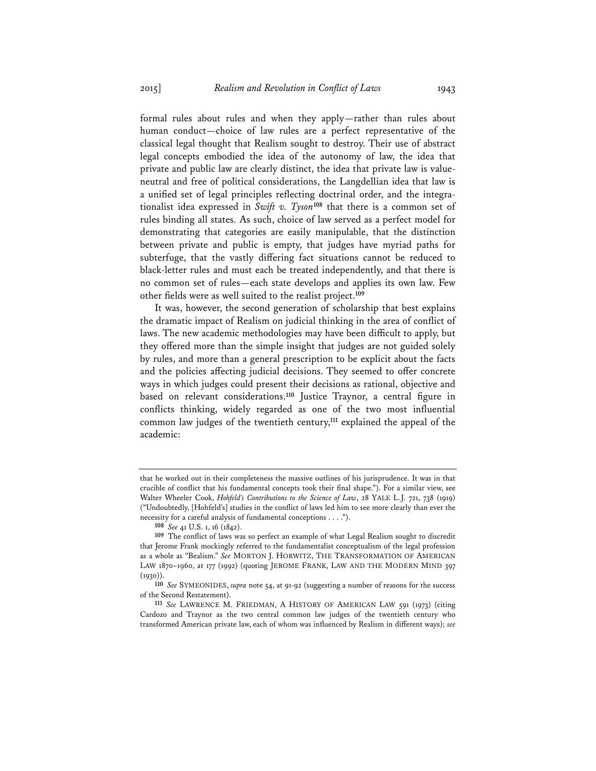formal rules about rules and when they apply—rather than rules about human conduct—choice of law rules are a perfect representative of the classical legal thought that Realism sought to destroy. Their use of abstract legal concepts embodied the idea of the autonomy of law, the idea that private and public law are clearly distinct, the idea that private law is valueneutral and free of political considerations, the Langdellian idea that law is a unified set of legal principles reflecting doctrinal order, and the integrationalist idea expressed in *Swift v. Tyson***<sup>108</sup>** that there is a common set of rules binding all states. As such, choice of law served as a perfect model for demonstrating that categories are easily manipulable, that the distinction between private and public is empty, that judges have myriad paths for subterfuge, that the vastly differing fact situations cannot be reduced to black-letter rules and must each be treated independently, and that there is no common set of rules—each state develops and applies its own law. Few other fields were as well suited to the realist project.**<sup>109</sup>**

It was, however, the second generation of scholarship that best explains the dramatic impact of Realism on judicial thinking in the area of conflict of laws. The new academic methodologies may have been difficult to apply, but they offered more than the simple insight that judges are not guided solely by rules, and more than a general prescription to be explicit about the facts and the policies affecting judicial decisions. They seemed to offer concrete ways in which judges could present their decisions as rational, objective and based on relevant considerations.**<sup>110</sup>** Justice Traynor, a central figure in conflicts thinking, widely regarded as one of the two most influential common law judges of the twentieth century,**<sup>111</sup>** explained the appeal of the academic:

that he worked out in their completeness the massive outlines of his jurisprudence. It was in that crucible of conflict that his fundamental concepts took their final shape."). For a similar view, see Walter Wheeler Cook, *Hohfeld's Contributions to the Science of Law*, 28 YALE L.J. 721, 738 (1919) ("Undoubtedly, [Hohfeld's] studies in the conflict of laws led him to see more clearly than ever the necessity for a careful analysis of fundamental conceptions . . . .").

**<sup>108</sup>** *See* 41 U.S. 1, 16 (1842).

**<sup>109</sup>** The conflict of laws was so perfect an example of what Legal Realism sought to discredit that Jerome Frank mockingly referred to the fundamentalist conceptualism of the legal profession as a whole as "Bealism." *See* MORTON J. HORWITZ, THE TRANSFORMATION OF AMERICAN LAW 1870–1960, at 177 (1992) (quoting JEROME FRANK, LAW AND THE MODERN MIND 397  $(1930)$ 

**<sup>110</sup>** *See* SYMEONIDES, *supra* note 54, at 91-92 (suggesting a number of reasons for the success

<sup>111</sup> See LAWRENCE M. FRIEDMAN, A HISTORY OF AMERICAN LAW 591 (1973) (citing Cardozo and Traynor as the two central common law judges of the twentieth century who transformed American private law, each of whom was influenced by Realism in different ways); *see*